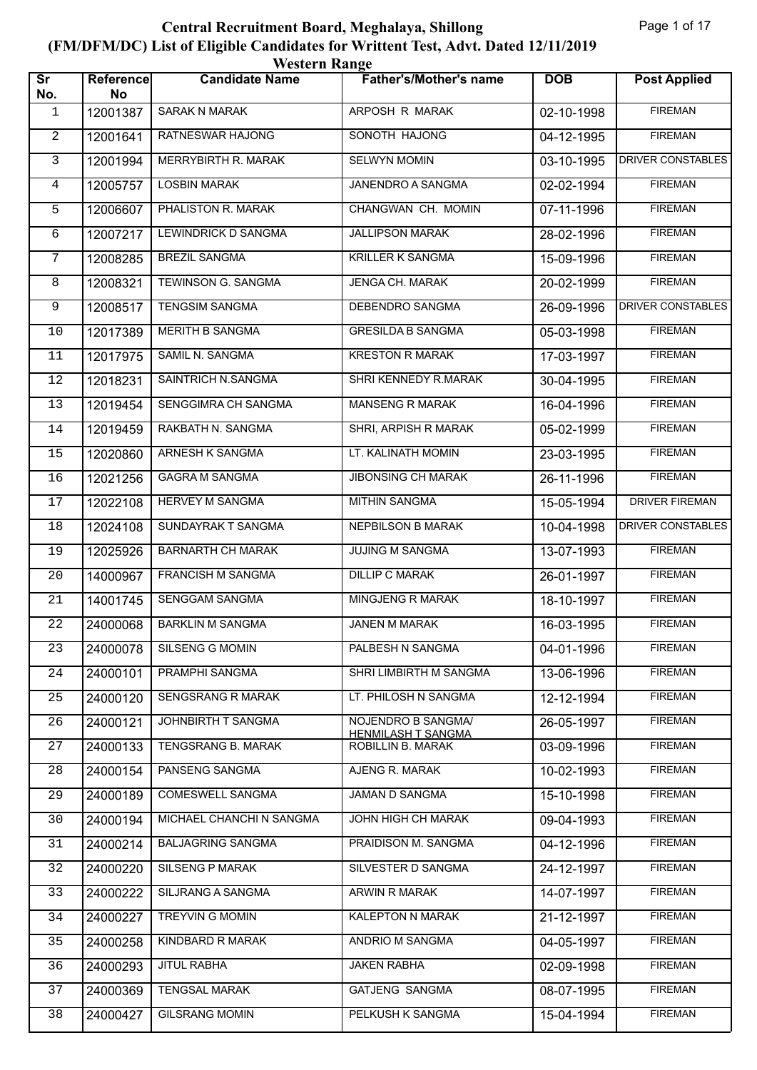|                               | <b>Western Range</b> |                            |                                                 |            |                          |  |  |
|-------------------------------|----------------------|----------------------------|-------------------------------------------------|------------|--------------------------|--|--|
| $\overline{\text{Sr}}$<br>No. | Reference<br>No      | <b>Candidate Name</b>      | <b>Father's/Mother's name</b>                   | <b>DOB</b> | <b>Post Applied</b>      |  |  |
| 1                             | 12001387             | <b>SARAK N MARAK</b>       | ARPOSH R MARAK                                  | 02-10-1998 | <b>FIREMAN</b>           |  |  |
| $\overline{2}$                | 12001641             | <b>RATNESWAR HAJONG</b>    | SONOTH HAJONG                                   | 04-12-1995 | <b>FIREMAN</b>           |  |  |
| 3                             | 12001994             | MERRYBIRTH R. MARAK        | <b>SELWYN MOMIN</b>                             | 03-10-1995 | DRIVER CONSTABLES        |  |  |
| 4                             | 12005757             | <b>LOSBIN MARAK</b>        | JANENDRO A SANGMA                               | 02-02-1994 | <b>FIREMAN</b>           |  |  |
| 5                             | 12006607             | PHALISTON R. MARAK         | CHANGWAN CH. MOMIN                              | 07-11-1996 | <b>FIREMAN</b>           |  |  |
| 6                             | 12007217             | <b>LEWINDRICK D SANGMA</b> | <b>JALLIPSON MARAK</b>                          | 28-02-1996 | <b>FIREMAN</b>           |  |  |
| 7                             | 12008285             | <b>BREZIL SANGMA</b>       | <b>KRILLER K SANGMA</b>                         | 15-09-1996 | <b>FIREMAN</b>           |  |  |
| 8                             | 12008321             | TEWINSON G. SANGMA         | JENGA CH. MARAK                                 | 20-02-1999 | <b>FIREMAN</b>           |  |  |
| 9                             | 12008517             | <b>TENGSIM SANGMA</b>      | DEBENDRO SANGMA                                 | 26-09-1996 | <b>DRIVER CONSTABLES</b> |  |  |
| 10                            | 12017389             | MERITH B SANGMA            | <b>GRESILDA B SANGMA</b>                        | 05-03-1998 | <b>FIREMAN</b>           |  |  |
| 11                            | 12017975             | SAMIL N. SANGMA            | <b>KRESTON R MARAK</b>                          | 17-03-1997 | <b>FIREMAN</b>           |  |  |
| 12                            | 12018231             | SAINTRICH N.SANGMA         | SHRI KENNEDY R.MARAK                            | 30-04-1995 | <b>FIREMAN</b>           |  |  |
| 13                            | 12019454             | SENGGIMRA CH SANGMA        | <b>MANSENG R MARAK</b>                          | 16-04-1996 | <b>FIREMAN</b>           |  |  |
| 14                            | 12019459             | RAKBATH N. SANGMA          | SHRI, ARPISH R MARAK                            | 05-02-1999 | <b>FIREMAN</b>           |  |  |
| 15                            | 12020860             | ARNESH K SANGMA            | LT. KALINATH MOMIN                              | 23-03-1995 | <b>FIREMAN</b>           |  |  |
| 16                            | 12021256             | <b>GAGRA M SANGMA</b>      | <b>JIBONSING CH MARAK</b>                       | 26-11-1996 | <b>FIREMAN</b>           |  |  |
| 17                            | 12022108             | <b>HERVEY M SANGMA</b>     | <b>MITHIN SANGMA</b>                            | 15-05-1994 | <b>DRIVER FIREMAN</b>    |  |  |
| 18                            | 12024108             | SUNDAYRAK T SANGMA         | <b>NEPBILSON B MARAK</b>                        | 10-04-1998 | DRIVER CONSTABLES        |  |  |
| 19                            | 12025926             | <b>BARNARTH CH MARAK</b>   | <b>JUJING M SANGMA</b>                          | 13-07-1993 | <b>FIREMAN</b>           |  |  |
| 20                            | 14000967             | FRANCISH M SANGMA          | <b>DILLIP C MARAK</b>                           | 26-01-1997 | <b>FIREMAN</b>           |  |  |
| 21                            | 14001745             | SENGGAM SANGMA             | MINGJENG R MARAK                                | 18-10-1997 | <b>FIREMAN</b>           |  |  |
| $2\sqrt{2}$                   | 24000068             | <b>BARKLIN M SANGMA</b>    | JANEN M MARAK                                   | 16-03-1995 | <b>FIREMAN</b>           |  |  |
| 23                            | 24000078             | <b>SILSENG G MOMIN</b>     | PALBESH N SANGMA                                | 04-01-1996 | <b>FIREMAN</b>           |  |  |
| 24                            | 24000101             | PRAMPHI SANGMA             | SHRI LIMBIRTH M SANGMA                          | 13-06-1996 | <b>FIREMAN</b>           |  |  |
| 25                            | 24000120             | SENGSRANG R MARAK          | LT. PHILOSH N SANGMA                            | 12-12-1994 | <b>FIREMAN</b>           |  |  |
| 26                            | 24000121             | JOHNBIRTH T SANGMA         | NOJENDRO B SANGMA/<br><b>HENMILASH T SANGMA</b> | 26-05-1997 | <b>FIREMAN</b>           |  |  |
| 27                            | 24000133             | TENGSRANG B. MARAK         | ROBILLIN B. MARAK                               | 03-09-1996 | <b>FIREMAN</b>           |  |  |
| 28                            | 24000154             | PANSENG SANGMA             | AJENG R. MARAK                                  | 10-02-1993 | <b>FIREMAN</b>           |  |  |
| 29                            | 24000189             | COMESWELL SANGMA           | JAMAN D SANGMA                                  | 15-10-1998 | <b>FIREMAN</b>           |  |  |
| 30                            | 24000194             | MICHAEL CHANCHI N SANGMA   | JOHN HIGH CH MARAK                              | 09-04-1993 | <b>FIREMAN</b>           |  |  |
| 31                            | 24000214             | <b>BALJAGRING SANGMA</b>   | PRAIDISON M. SANGMA                             | 04-12-1996 | <b>FIREMAN</b>           |  |  |
| 32                            | 24000220             | SILSENG P MARAK            | SILVESTER D SANGMA                              | 24-12-1997 | <b>FIREMAN</b>           |  |  |
| 33                            | 24000222             | SILJRANG A SANGMA          | ARWIN R MARAK                                   | 14-07-1997 | <b>FIREMAN</b>           |  |  |
| 34                            | 24000227             | <b>TREYVIN G MOMIN</b>     | KALEPTON N MARAK                                | 21-12-1997 | <b>FIREMAN</b>           |  |  |
| 35                            | 24000258             | KINDBARD R MARAK           | ANDRIO M SANGMA                                 | 04-05-1997 | <b>FIREMAN</b>           |  |  |
| 36                            | 24000293             | <b>JITUL RABHA</b>         | <b>JAKEN RABHA</b>                              | 02-09-1998 | <b>FIREMAN</b>           |  |  |
| 37                            | 24000369             | <b>TENGSAL MARAK</b>       | <b>GATJENG SANGMA</b>                           | 08-07-1995 | <b>FIREMAN</b>           |  |  |
| 38                            | 24000427             | <b>GILSRANG MOMIN</b>      | PELKUSH K SANGMA                                | 15-04-1994 | <b>FIREMAN</b>           |  |  |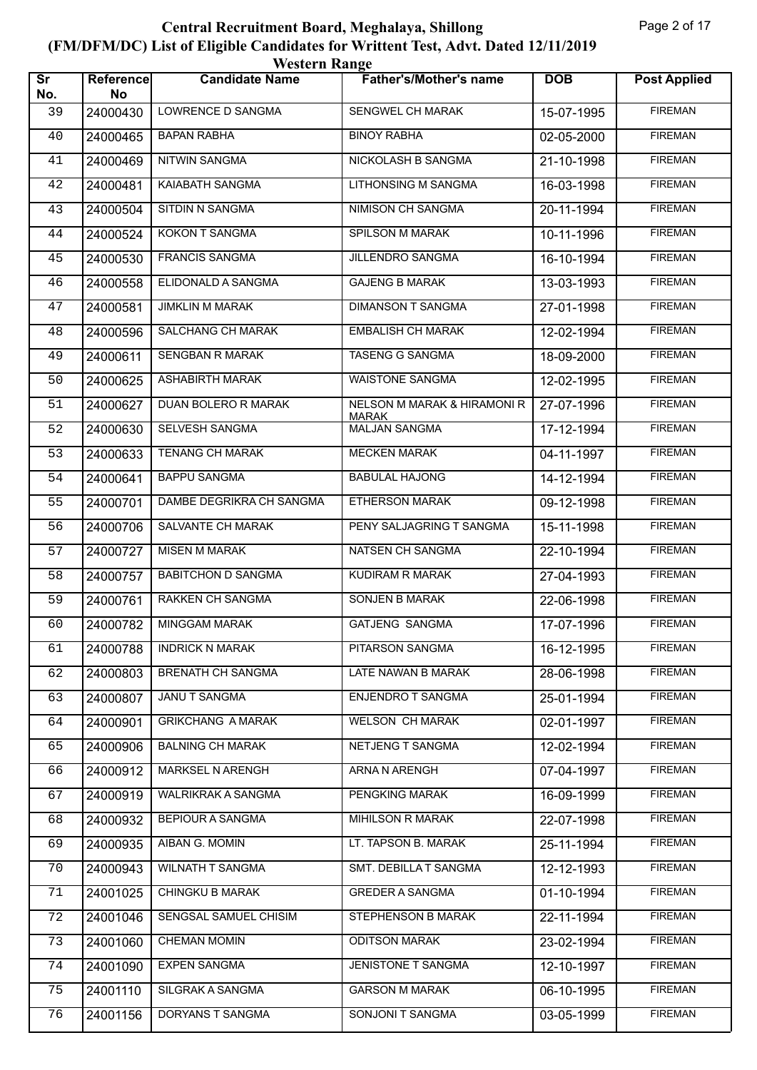| <b>Western Range</b>          |                 |                           |                                                        |            |                     |  |  |
|-------------------------------|-----------------|---------------------------|--------------------------------------------------------|------------|---------------------|--|--|
| $\overline{\text{sr}}$<br>No. | Reference<br>No | <b>Candidate Name</b>     | <b>Father's/Mother's name</b>                          | <b>DOB</b> | <b>Post Applied</b> |  |  |
| 39                            | 24000430        | LOWRENCE D SANGMA         | SENGWEL CH MARAK                                       | 15-07-1995 | <b>FIREMAN</b>      |  |  |
| 40                            | 24000465        | <b>BAPAN RABHA</b>        | <b>BINOY RABHA</b>                                     | 02-05-2000 | <b>FIREMAN</b>      |  |  |
| 41                            | 24000469        | <b>NITWIN SANGMA</b>      | NICKOLASH B SANGMA                                     | 21-10-1998 | <b>FIREMAN</b>      |  |  |
| 42                            | 24000481        | KAIABATH SANGMA           | <b>LITHONSING M SANGMA</b>                             | 16-03-1998 | <b>FIREMAN</b>      |  |  |
| 43                            | 24000504        | SITDIN N SANGMA           | NIMISON CH SANGMA                                      | 20-11-1994 | <b>FIREMAN</b>      |  |  |
| 44                            | 24000524        | KOKON T SANGMA            | SPILSON M MARAK                                        | 10-11-1996 | <b>FIREMAN</b>      |  |  |
| 45                            | 24000530        | <b>FRANCIS SANGMA</b>     | <b>JILLENDRO SANGMA</b>                                | 16-10-1994 | <b>FIREMAN</b>      |  |  |
| 46                            | 24000558        | ELIDONALD A SANGMA        | <b>GAJENG B MARAK</b>                                  | 13-03-1993 | <b>FIREMAN</b>      |  |  |
| 47                            | 24000581        | <b>JIMKLIN M MARAK</b>    | <b>DIMANSON T SANGMA</b>                               | 27-01-1998 | <b>FIREMAN</b>      |  |  |
| 48                            | 24000596        | SALCHANG CH MARAK         | <b>EMBALISH CH MARAK</b>                               | 12-02-1994 | <b>FIREMAN</b>      |  |  |
| 49                            | 24000611        | SENGBAN R MARAK           | <b>TASENG G SANGMA</b>                                 | 18-09-2000 | <b>FIREMAN</b>      |  |  |
| 50                            | 24000625        | <b>ASHABIRTH MARAK</b>    | <b>WAISTONE SANGMA</b>                                 | 12-02-1995 | <b>FIREMAN</b>      |  |  |
| 51                            | 24000627        | DUAN BOLERO R MARAK       | <b>NELSON M MARAK &amp; HIRAMONI R</b><br><b>MARAK</b> | 27-07-1996 | <b>FIREMAN</b>      |  |  |
| 52                            | 24000630        | SELVESH SANGMA            | <b>MALJAN SANGMA</b>                                   | 17-12-1994 | <b>FIREMAN</b>      |  |  |
| 53                            | 24000633        | <b>TENANG CH MARAK</b>    | <b>MECKEN MARAK</b>                                    | 04-11-1997 | <b>FIREMAN</b>      |  |  |
| 54                            | 24000641        | <b>BAPPU SANGMA</b>       | <b>BABULAL HAJONG</b>                                  | 14-12-1994 | <b>FIREMAN</b>      |  |  |
| 55                            | 24000701        | DAMBE DEGRIKRA CH SANGMA  | <b>ETHERSON MARAK</b>                                  | 09-12-1998 | <b>FIREMAN</b>      |  |  |
| 56                            | 24000706        | SALVANTE CH MARAK         | PENY SALJAGRING T SANGMA                               | 15-11-1998 | <b>FIREMAN</b>      |  |  |
| 57                            | 24000727        | <b>MISEN M MARAK</b>      | NATSEN CH SANGMA                                       | 22-10-1994 | <b>FIREMAN</b>      |  |  |
| 58                            | 24000757        | <b>BABITCHON D SANGMA</b> | <b>KUDIRAM R MARAK</b>                                 | 27-04-1993 | <b>FIREMAN</b>      |  |  |
| 59                            | 24000761        | RAKKEN CH SANGMA          | SONJEN B MARAK                                         | 22-06-1998 | <b>FIREMAN</b>      |  |  |
| 60                            | 24000782        | <b>MINGGAM MARAK</b>      | <b>GATJENG SANGMA</b>                                  | 17-07-1996 | <b>FIREMAN</b>      |  |  |
| 61                            | 24000788        | <b>INDRICK N MARAK</b>    | PITARSON SANGMA                                        | 16-12-1995 | <b>FIREMAN</b>      |  |  |
| 62                            | 24000803        | BRENATH CH SANGMA         | LATE NAWAN B MARAK                                     | 28-06-1998 | <b>FIREMAN</b>      |  |  |
| 63                            | 24000807        | <b>JANUT SANGMA</b>       | ENJENDRO T SANGMA                                      | 25-01-1994 | <b>FIREMAN</b>      |  |  |
| 64                            | 24000901        | <b>GRIKCHANG A MARAK</b>  | <b>WELSON CH MARAK</b>                                 | 02-01-1997 | <b>FIREMAN</b>      |  |  |
| 65                            | 24000906        | <b>BALNING CH MARAK</b>   | NETJENG T SANGMA                                       | 12-02-1994 | <b>FIREMAN</b>      |  |  |
| 66                            | 24000912        | MARKSEL N ARENGH          | ARNA N ARENGH                                          | 07-04-1997 | <b>FIREMAN</b>      |  |  |
| 67                            | 24000919        | <b>WALRIKRAK A SANGMA</b> | PENGKING MARAK                                         | 16-09-1999 | <b>FIREMAN</b>      |  |  |
| 68                            | 24000932        | <b>BEPIOUR A SANGMA</b>   | MIHILSON R MARAK                                       | 22-07-1998 | <b>FIREMAN</b>      |  |  |
| 69                            | 24000935        | AIBAN G. MOMIN            | LT. TAPSON B. MARAK                                    | 25-11-1994 | <b>FIREMAN</b>      |  |  |
| 70                            | 24000943        | WILNATH T SANGMA          | SMT. DEBILLA T SANGMA                                  | 12-12-1993 | <b>FIREMAN</b>      |  |  |
| 71                            | 24001025        | <b>CHINGKU B MARAK</b>    | <b>GREDER A SANGMA</b>                                 | 01-10-1994 | <b>FIREMAN</b>      |  |  |
| 72                            | 24001046        | SENGSAL SAMUEL CHISIM     | <b>STEPHENSON B MARAK</b>                              | 22-11-1994 | <b>FIREMAN</b>      |  |  |
| 73                            | 24001060        | <b>CHEMAN MOMIN</b>       | <b>ODITSON MARAK</b>                                   | 23-02-1994 | <b>FIREMAN</b>      |  |  |
| 74                            | 24001090        | <b>EXPEN SANGMA</b>       | JENISTONE T SANGMA                                     | 12-10-1997 | <b>FIREMAN</b>      |  |  |
| 75                            | 24001110        | SILGRAK A SANGMA          | <b>GARSON M MARAK</b>                                  | 06-10-1995 | <b>FIREMAN</b>      |  |  |
| 76                            | 24001156        | DORYANS T SANGMA          | SONJONI T SANGMA                                       | 03-05-1999 | <b>FIREMAN</b>      |  |  |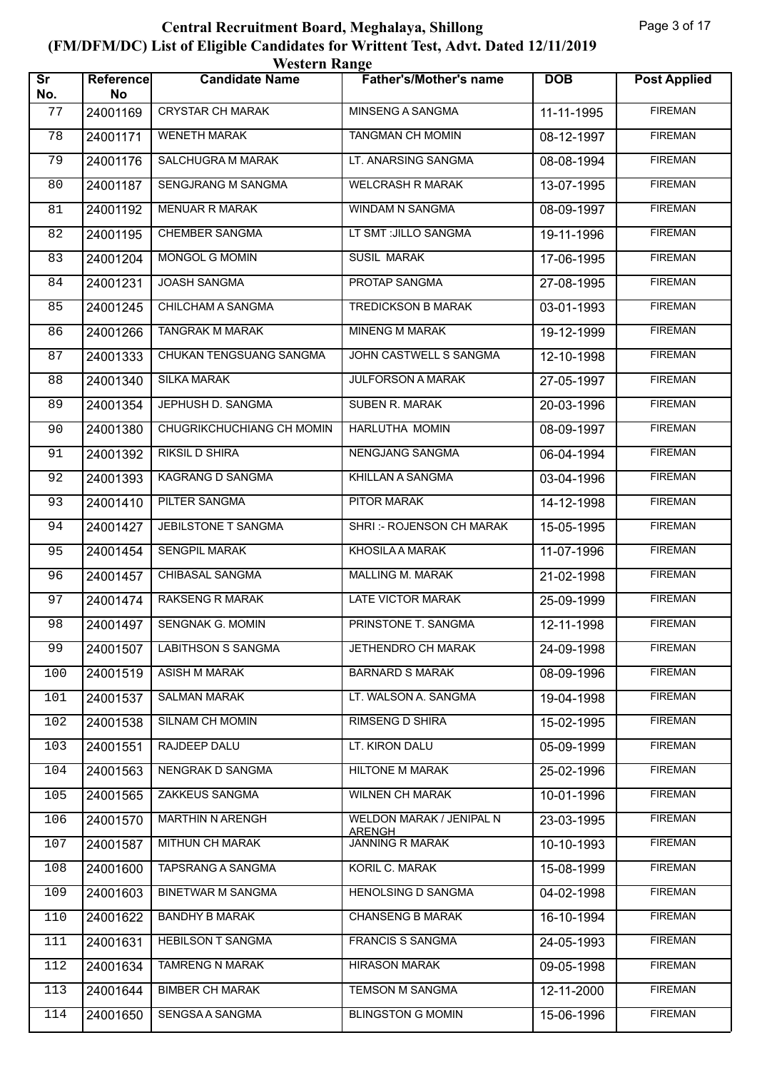| <b>Western Range</b>          |                        |                           |                                                  |            |                     |  |
|-------------------------------|------------------------|---------------------------|--------------------------------------------------|------------|---------------------|--|
| $\overline{\text{Sr}}$<br>No. | <b>Reference</b><br>No | <b>Candidate Name</b>     | <b>Father's/Mother's name</b>                    | <b>DOB</b> | <b>Post Applied</b> |  |
| 77                            | 24001169               | <b>CRYSTAR CH MARAK</b>   | MINSENG A SANGMA                                 | 11-11-1995 | <b>FIREMAN</b>      |  |
| 78                            | 24001171               | <b>WENETH MARAK</b>       | <b>TANGMAN CH MOMIN</b>                          | 08-12-1997 | <b>FIREMAN</b>      |  |
| 79                            | 24001176               | SALCHUGRA M MARAK         | LT. ANARSING SANGMA                              | 08-08-1994 | <b>FIREMAN</b>      |  |
| 80                            | 24001187               | SENGJRANG M SANGMA        | <b>WELCRASH R MARAK</b>                          | 13-07-1995 | <b>FIREMAN</b>      |  |
| 81                            | 24001192               | <b>MENUAR R MARAK</b>     | WINDAM N SANGMA                                  | 08-09-1997 | <b>FIREMAN</b>      |  |
| 82                            | 24001195               | <b>CHEMBER SANGMA</b>     | LT SMT : JILLO SANGMA                            | 19-11-1996 | <b>FIREMAN</b>      |  |
| 83                            | 24001204               | <b>MONGOL G MOMIN</b>     | <b>SUSIL MARAK</b>                               | 17-06-1995 | <b>FIREMAN</b>      |  |
| 84                            | 24001231               | <b>JOASH SANGMA</b>       | PROTAP SANGMA                                    | 27-08-1995 | <b>FIREMAN</b>      |  |
| 85                            | 24001245               | CHILCHAM A SANGMA         | <b>TREDICKSON B MARAK</b>                        | 03-01-1993 | <b>FIREMAN</b>      |  |
| 86                            | 24001266               | <b>TANGRAK M MARAK</b>    | <b>MINENG M MARAK</b>                            | 19-12-1999 | <b>FIREMAN</b>      |  |
| 87                            | 24001333               | CHUKAN TENGSUANG SANGMA   | JOHN CASTWELL S SANGMA                           | 12-10-1998 | <b>FIREMAN</b>      |  |
| 88                            | 24001340               | <b>SILKA MARAK</b>        | <b>JULFORSON A MARAK</b>                         | 27-05-1997 | <b>FIREMAN</b>      |  |
| 89                            | 24001354               | JEPHUSH D. SANGMA         | <b>SUBEN R. MARAK</b>                            | 20-03-1996 | <b>FIREMAN</b>      |  |
| 90                            | 24001380               | CHUGRIKCHUCHIANG CH MOMIN | <b>HARLUTHA MOMIN</b>                            | 08-09-1997 | <b>FIREMAN</b>      |  |
| 91                            | 24001392               | <b>RIKSIL D SHIRA</b>     | NENGJANG SANGMA                                  | 06-04-1994 | <b>FIREMAN</b>      |  |
| 92                            | 24001393               | KAGRANG D SANGMA          | KHILLAN A SANGMA                                 | 03-04-1996 | <b>FIREMAN</b>      |  |
| 93                            | 24001410               | <b>PILTER SANGMA</b>      | <b>PITOR MARAK</b>                               | 14-12-1998 | <b>FIREMAN</b>      |  |
| 94                            | 24001427               | JEBILSTONE T SANGMA       | SHRI:- ROJENSON CH MARAK                         | 15-05-1995 | <b>FIREMAN</b>      |  |
| 95                            | 24001454               | <b>SENGPIL MARAK</b>      | KHOSILA A MARAK                                  | 11-07-1996 | <b>FIREMAN</b>      |  |
| 96                            | 24001457               | <b>CHIBASAL SANGMA</b>    | <b>MALLING M. MARAK</b>                          | 21-02-1998 | <b>FIREMAN</b>      |  |
| 97                            | 24001474               | <b>RAKSENG R MARAK</b>    | LATE VICTOR MARAK                                | 25-09-1999 | <b>FIREMAN</b>      |  |
| 98                            | 24001497               | <b>SENGNAK G. MOMIN</b>   | PRINSTONE T. SANGMA                              | 12-11-1998 | <b>FIREMAN</b>      |  |
| 99                            | 24001507               | <b>LABITHSON S SANGMA</b> | <b>JETHENDRO CH MARAK</b>                        | 24-09-1998 | <b>FIREMAN</b>      |  |
| 100                           | 24001519               | <b>ASISH M MARAK</b>      | <b>BARNARD S MARAK</b>                           | 08-09-1996 | <b>FIREMAN</b>      |  |
| 101                           | 24001537               | <b>SALMAN MARAK</b>       | LT. WALSON A. SANGMA                             | 19-04-1998 | <b>FIREMAN</b>      |  |
| 102                           | 24001538               | SILNAM CH MOMIN           | <b>RIMSENG D SHIRA</b>                           | 15-02-1995 | <b>FIREMAN</b>      |  |
| 103                           | 24001551               | RAJDEEP DALU              | LT. KIRON DALU                                   | 05-09-1999 | <b>FIREMAN</b>      |  |
| 104                           | 24001563               | NENGRAK D SANGMA          | <b>HILTONE M MARAK</b>                           | 25-02-1996 | <b>FIREMAN</b>      |  |
| 105                           | 24001565               | <b>ZAKKEUS SANGMA</b>     | <b>WILNEN CH MARAK</b>                           | 10-01-1996 | <b>FIREMAN</b>      |  |
| 106                           | 24001570               | <b>MARTHIN N ARENGH</b>   | <b>WELDON MARAK / JENIPAL N</b><br><b>ARENGH</b> | 23-03-1995 | <b>FIREMAN</b>      |  |
| 107                           | 24001587               | MITHUN CH MARAK           | <b>JANNING R MARAK</b>                           | 10-10-1993 | <b>FIREMAN</b>      |  |
| 108                           | 24001600               | TAPSRANG A SANGMA         | KORIL C. MARAK                                   | 15-08-1999 | <b>FIREMAN</b>      |  |
| 109                           | 24001603               | <b>BINETWAR M SANGMA</b>  | <b>HENOLSING D SANGMA</b>                        | 04-02-1998 | <b>FIREMAN</b>      |  |
| 110                           | 24001622               | <b>BANDHY B MARAK</b>     | <b>CHANSENG B MARAK</b>                          | 16-10-1994 | <b>FIREMAN</b>      |  |
| 111                           | 24001631               | <b>HEBILSON T SANGMA</b>  | <b>FRANCIS S SANGMA</b>                          | 24-05-1993 | <b>FIREMAN</b>      |  |
| 112                           | 24001634               | <b>TAMRENG N MARAK</b>    | <b>HIRASON MARAK</b>                             | 09-05-1998 | <b>FIREMAN</b>      |  |
| 113                           | 24001644               | <b>BIMBER CH MARAK</b>    | TEMSON M SANGMA                                  | 12-11-2000 | <b>FIREMAN</b>      |  |
| 114                           | 24001650               | SENGSA A SANGMA           | <b>BLINGSTON G MOMIN</b>                         | 15-06-1996 | <b>FIREMAN</b>      |  |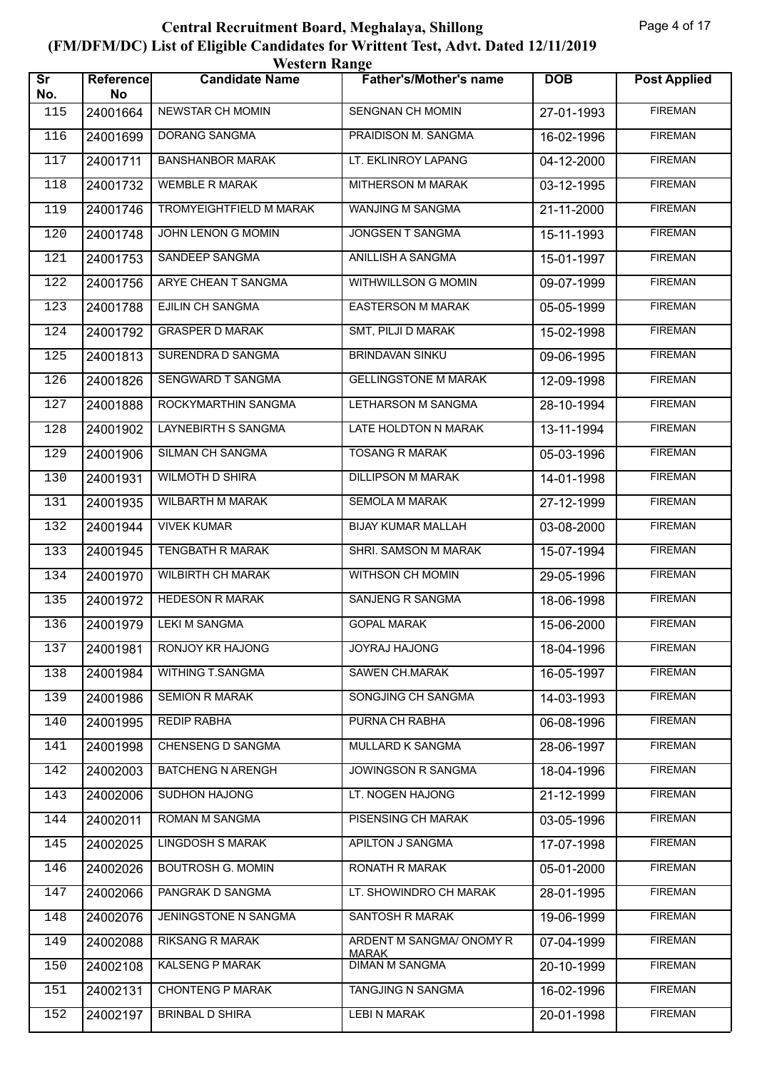|                               | <b>Western Range</b>   |                            |                                          |              |                     |  |  |
|-------------------------------|------------------------|----------------------------|------------------------------------------|--------------|---------------------|--|--|
| $\overline{\text{Sr}}$<br>No. | <b>Reference</b><br>No | <b>Candidate Name</b>      | <b>Father's/Mother's name</b>            | <b>DOB</b>   | <b>Post Applied</b> |  |  |
| 115                           | 24001664               | NEWSTAR CH MOMIN           | SENGNAN CH MOMIN                         | 27-01-1993   | <b>FIREMAN</b>      |  |  |
| 116                           | 24001699               | <b>DORANG SANGMA</b>       | PRAIDISON M. SANGMA                      | $16-02-1996$ | <b>FIREMAN</b>      |  |  |
| 117                           | 24001711               | <b>BANSHANBOR MARAK</b>    | LT. EKLINROY LAPANG                      | 04-12-2000   | <b>FIREMAN</b>      |  |  |
| 118                           | 24001732               | <b>WEMBLE R MARAK</b>      | MITHERSON M MARAK                        | 03-12-1995   | <b>FIREMAN</b>      |  |  |
| 119                           | 24001746               | TROMYEIGHTFIELD M MARAK    | WANJING M SANGMA                         | 21-11-2000   | <b>FIREMAN</b>      |  |  |
| 120                           | 24001748               | JOHN LENON G MOMIN         | JONGSEN T SANGMA                         | 15-11-1993   | <b>FIREMAN</b>      |  |  |
| 121                           | 24001753               | SANDEEP SANGMA             | <b>ANILLISH A SANGMA</b>                 | 15-01-1997   | <b>FIREMAN</b>      |  |  |
| 122                           | 24001756               | ARYE CHEAN T SANGMA        | WITHWILLSON G MOMIN                      | 09-07-1999   | <b>FIREMAN</b>      |  |  |
| 123                           | 24001788               | EJILIN CH SANGMA           | <b>EASTERSON M MARAK</b>                 | 05-05-1999   | <b>FIREMAN</b>      |  |  |
| 124                           | 24001792               | <b>GRASPER D MARAK</b>     | SMT, PILJI D MARAK                       | 15-02-1998   | <b>FIREMAN</b>      |  |  |
| 125                           | 24001813               | SURENDRA D SANGMA          | <b>BRINDAVAN SINKU</b>                   | 09-06-1995   | <b>FIREMAN</b>      |  |  |
| 126                           | 24001826               | SENGWARD T SANGMA          | <b>GELLINGSTONE M MARAK</b>              | 12-09-1998   | <b>FIREMAN</b>      |  |  |
| 127                           | 24001888               | ROCKYMARTHIN SANGMA        | <b>LETHARSON M SANGMA</b>                | 28-10-1994   | <b>FIREMAN</b>      |  |  |
| 128                           | 24001902               | <b>LAYNEBIRTH S SANGMA</b> | LATE HOLDTON N MARAK                     | 13-11-1994   | <b>FIREMAN</b>      |  |  |
| 129                           | 24001906               | SILMAN CH SANGMA           | <b>TOSANG R MARAK</b>                    | 05-03-1996   | <b>FIREMAN</b>      |  |  |
| 130                           | 24001931               | <b>WILMOTH D SHIRA</b>     | <b>DILLIPSON M MARAK</b>                 | 14-01-1998   | <b>FIREMAN</b>      |  |  |
| 131                           | 24001935               | <b>WILBARTH M MARAK</b>    | <b>SEMOLA M MARAK</b>                    | 27-12-1999   | <b>FIREMAN</b>      |  |  |
| 132                           | 24001944               | <b>VIVEK KUMAR</b>         | <b>BIJAY KUMAR MALLAH</b>                | 03-08-2000   | <b>FIREMAN</b>      |  |  |
| 133                           | 24001945               | TENGBATH R MARAK           | SHRI. SAMSON M MARAK                     | 15-07-1994   | <b>FIREMAN</b>      |  |  |
| 134                           | 24001970               | <b>WILBIRTH CH MARAK</b>   | <b>WITHSON CH MOMIN</b>                  | 29-05-1996   | <b>FIREMAN</b>      |  |  |
| 135                           | 24001972               | <b>HEDESON R MARAK</b>     | <b>SANJENG R SANGMA</b>                  | 18-06-1998   | <b>FIREMAN</b>      |  |  |
| 136                           |                        | 24001979   LEKI M SANGMA   | <b>GOPAL MARAK</b>                       | 15-06-2000   | <b>FIREMAN</b>      |  |  |
| 137                           | 24001981               | RONJOY KR HAJONG           | JOYRAJ HAJONG                            | 18-04-1996   | <b>FIREMAN</b>      |  |  |
| 138                           | 24001984               | WITHING T.SANGMA           | SAWEN CH.MARAK                           | 16-05-1997   | <b>FIREMAN</b>      |  |  |
| 139                           | 24001986               | <b>SEMION R MARAK</b>      | SONGJING CH SANGMA                       | 14-03-1993   | <b>FIREMAN</b>      |  |  |
| 140                           | 24001995               | <b>REDIP RABHA</b>         | PURNA CH RABHA                           | 06-08-1996   | <b>FIREMAN</b>      |  |  |
| 141                           | 24001998               | <b>CHENSENG D SANGMA</b>   | MULLARD K SANGMA                         | 28-06-1997   | <b>FIREMAN</b>      |  |  |
| 142                           | 24002003               | <b>BATCHENG N ARENGH</b>   | <b>JOWINGSON R SANGMA</b>                | 18-04-1996   | <b>FIREMAN</b>      |  |  |
| 143                           | 24002006               | <b>SUDHON HAJONG</b>       | LT. NOGEN HAJONG                         | 21-12-1999   | <b>FIREMAN</b>      |  |  |
| 144                           | 24002011               | ROMAN M SANGMA             | PISENSING CH MARAK                       | 03-05-1996   | <b>FIREMAN</b>      |  |  |
| 145                           | 24002025               | <b>LINGDOSH S MARAK</b>    | APILTON J SANGMA                         | 17-07-1998   | <b>FIREMAN</b>      |  |  |
| 146                           | 24002026               | <b>BOUTROSH G. MOMIN</b>   | RONATH R MARAK                           | 05-01-2000   | <b>FIREMAN</b>      |  |  |
| 147                           | 24002066               | PANGRAK D SANGMA           | LT. SHOWINDRO CH MARAK                   | 28-01-1995   | <b>FIREMAN</b>      |  |  |
| 148                           | 24002076               | JENINGSTONE N SANGMA       | SANTOSH R MARAK                          | 19-06-1999   | <b>FIREMAN</b>      |  |  |
| 149                           | 24002088               | <b>RIKSANG R MARAK</b>     | ARDENT M SANGMA/ ONOMY R<br><b>MARAK</b> | 07-04-1999   | <b>FIREMAN</b>      |  |  |
| 150                           | 24002108               | KALSENG P MARAK            | <b>DIMAN M SANGMA</b>                    | 20-10-1999   | <b>FIREMAN</b>      |  |  |
| 151                           | 24002131               | <b>CHONTENG P MARAK</b>    | TANGJING N SANGMA                        | 16-02-1996   | <b>FIREMAN</b>      |  |  |
| 152                           | 24002197               | <b>BRINBAL D SHIRA</b>     | <b>LEBI N MARAK</b>                      | 20-01-1998   | <b>FIREMAN</b>      |  |  |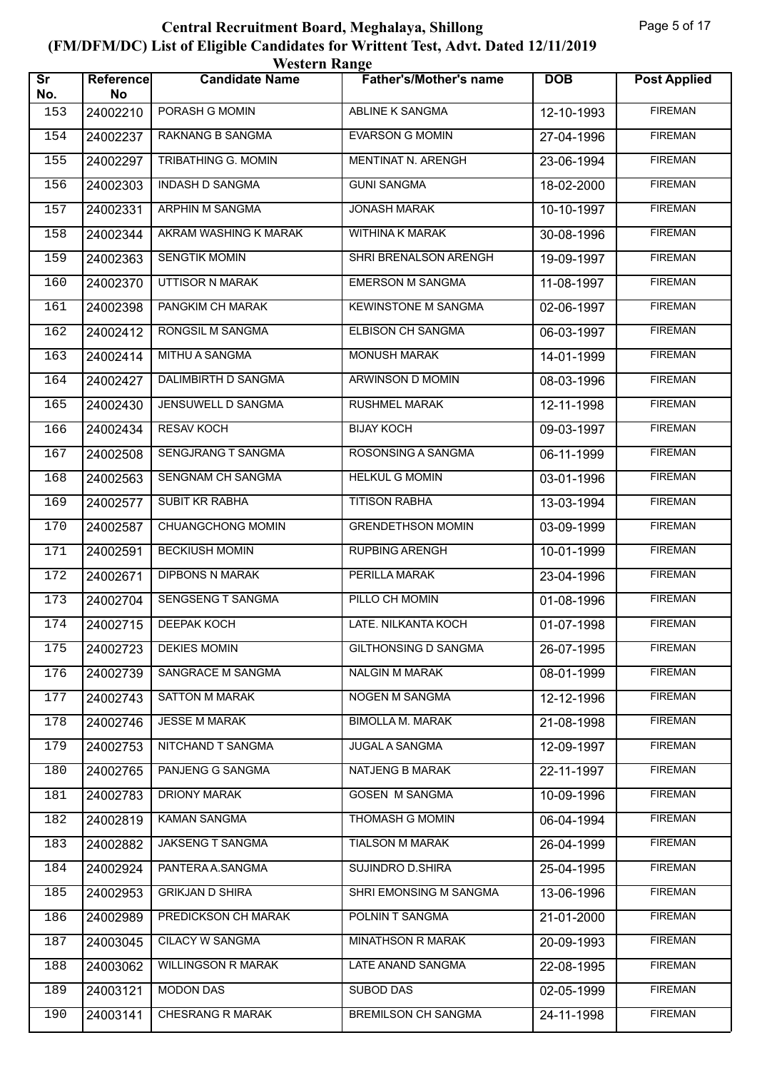| <b>Western Range</b>          |                        |                           |                               |            |                     |  |  |
|-------------------------------|------------------------|---------------------------|-------------------------------|------------|---------------------|--|--|
| $\overline{\text{Sr}}$<br>No. | <b>Reference</b><br>No | <b>Candidate Name</b>     | <b>Father's/Mother's name</b> | <b>DOB</b> | <b>Post Applied</b> |  |  |
| 153                           | 24002210               | PORASH G MOMIN            | ABLINE K SANGMA               | 12-10-1993 | <b>FIREMAN</b>      |  |  |
| 154                           | 24002237               | <b>RAKNANG B SANGMA</b>   | <b>EVARSON G MOMIN</b>        | 27-04-1996 | <b>FIREMAN</b>      |  |  |
| 155                           | 24002297               | TRIBATHING G. MOMIN       | MENTINAT N. ARENGH            | 23-06-1994 | <b>FIREMAN</b>      |  |  |
| 156                           | 24002303               | <b>INDASH D SANGMA</b>    | <b>GUNI SANGMA</b>            | 18-02-2000 | <b>FIREMAN</b>      |  |  |
| 157                           | 24002331               | ARPHIN M SANGMA           | <b>JONASH MARAK</b>           | 10-10-1997 | <b>FIREMAN</b>      |  |  |
| 158                           | 24002344               | AKRAM WASHING K MARAK     | WITHINA K MARAK               | 30-08-1996 | <b>FIREMAN</b>      |  |  |
| 159                           | 24002363               | <b>SENGTIK MOMIN</b>      | SHRI BRENALSON ARENGH         | 19-09-1997 | <b>FIREMAN</b>      |  |  |
| 160                           | 24002370               | UTTISOR N MARAK           | <b>EMERSON M SANGMA</b>       | 11-08-1997 | <b>FIREMAN</b>      |  |  |
| 161                           | 24002398               | PANGKIM CH MARAK          | <b>KEWINSTONE M SANGMA</b>    | 02-06-1997 | <b>FIREMAN</b>      |  |  |
| 162                           | 24002412               | RONGSIL M SANGMA          | ELBISON CH SANGMA             | 06-03-1997 | <b>FIREMAN</b>      |  |  |
| 163                           | 24002414               | MITHU A SANGMA            | <b>MONUSH MARAK</b>           | 14-01-1999 | <b>FIREMAN</b>      |  |  |
| 164                           | 24002427               | DALIMBIRTH D SANGMA       | <b>ARWINSON D MOMIN</b>       | 08-03-1996 | <b>FIREMAN</b>      |  |  |
| 165                           | 24002430               | JENSUWELL D SANGMA        | <b>RUSHMEL MARAK</b>          | 12-11-1998 | <b>FIREMAN</b>      |  |  |
| 166                           | 24002434               | <b>RESAV KOCH</b>         | <b>BIJAY KOCH</b>             | 09-03-1997 | <b>FIREMAN</b>      |  |  |
| 167                           | 24002508               | SENGJRANG T SANGMA        | ROSONSING A SANGMA            | 06-11-1999 | <b>FIREMAN</b>      |  |  |
| 168                           | 24002563               | SENGNAM CH SANGMA         | <b>HELKUL G MOMIN</b>         | 03-01-1996 | <b>FIREMAN</b>      |  |  |
| 169                           | 24002577               | <b>SUBIT KR RABHA</b>     | <b>TITISON RABHA</b>          | 13-03-1994 | <b>FIREMAN</b>      |  |  |
| 170                           | 24002587               | CHUANGCHONG MOMIN         | <b>GRENDETHSON MOMIN</b>      | 03-09-1999 | <b>FIREMAN</b>      |  |  |
| 171                           | 24002591               | <b>BECKIUSH MOMIN</b>     | <b>RUPBING ARENGH</b>         | 10-01-1999 | <b>FIREMAN</b>      |  |  |
| 172                           | 24002671               | <b>DIPBONS N MARAK</b>    | PERILLA MARAK                 | 23-04-1996 | <b>FIREMAN</b>      |  |  |
| 173                           | 24002704               | <b>SENGSENG T SANGMA</b>  | PILLO CH MOMIN                | 01-08-1996 | <b>FIREMAN</b>      |  |  |
| 174                           | 24002715               | <b>DEEPAK KOCH</b>        | LATE. NILKANTA KOCH           | 01-07-1998 | <b>FIREMAN</b>      |  |  |
| 175                           | 24002723               | <b>DEKIES MOMIN</b>       | GILTHONSING D SANGMA          | 26-07-1995 | <b>FIREMAN</b>      |  |  |
| 176                           | 24002739               | SANGRACE M SANGMA         | <b>NALGIN M MARAK</b>         | 08-01-1999 | <b>FIREMAN</b>      |  |  |
| 177                           | 24002743               | <b>SATTON M MARAK</b>     | <b>NOGEN M SANGMA</b>         | 12-12-1996 | <b>FIREMAN</b>      |  |  |
| 178                           | 24002746               | <b>JESSE M MARAK</b>      | <b>BIMOLLA M. MARAK</b>       | 21-08-1998 | <b>FIREMAN</b>      |  |  |
| 179                           | 24002753               | NITCHAND T SANGMA         | <b>JUGAL A SANGMA</b>         | 12-09-1997 | <b>FIREMAN</b>      |  |  |
| 180                           | 24002765               | PANJENG G SANGMA          | NATJENG B MARAK               | 22-11-1997 | <b>FIREMAN</b>      |  |  |
| 181                           | 24002783               | <b>DRIONY MARAK</b>       | <b>GOSEN M SANGMA</b>         | 10-09-1996 | <b>FIREMAN</b>      |  |  |
| 182                           | 24002819               | <b>KAMAN SANGMA</b>       | <b>THOMASH G MOMIN</b>        | 06-04-1994 | <b>FIREMAN</b>      |  |  |
| 183                           | 24002882               | JAKSENG T SANGMA          | <b>TIALSON M MARAK</b>        | 26-04-1999 | <b>FIREMAN</b>      |  |  |
| 184                           | 24002924               | PANTERA A.SANGMA          | SUJINDRO D.SHIRA              | 25-04-1995 | <b>FIREMAN</b>      |  |  |
| 185                           | 24002953               | <b>GRIKJAN D SHIRA</b>    | SHRI EMONSING M SANGMA        | 13-06-1996 | <b>FIREMAN</b>      |  |  |
| 186                           | 24002989               | PREDICKSON CH MARAK       | POLNIN T SANGMA               | 21-01-2000 | <b>FIREMAN</b>      |  |  |
| 187                           | 24003045               | <b>CILACY W SANGMA</b>    | <b>MINATHSON R MARAK</b>      | 20-09-1993 | <b>FIREMAN</b>      |  |  |
| 188                           | 24003062               | <b>WILLINGSON R MARAK</b> | LATE ANAND SANGMA             | 22-08-1995 | <b>FIREMAN</b>      |  |  |
| 189                           | 24003121               | <b>MODON DAS</b>          | SUBOD DAS                     | 02-05-1999 | <b>FIREMAN</b>      |  |  |
| 190                           | 24003141               | CHESRANG R MARAK          | <b>BREMILSON CH SANGMA</b>    | 24-11-1998 | <b>FIREMAN</b>      |  |  |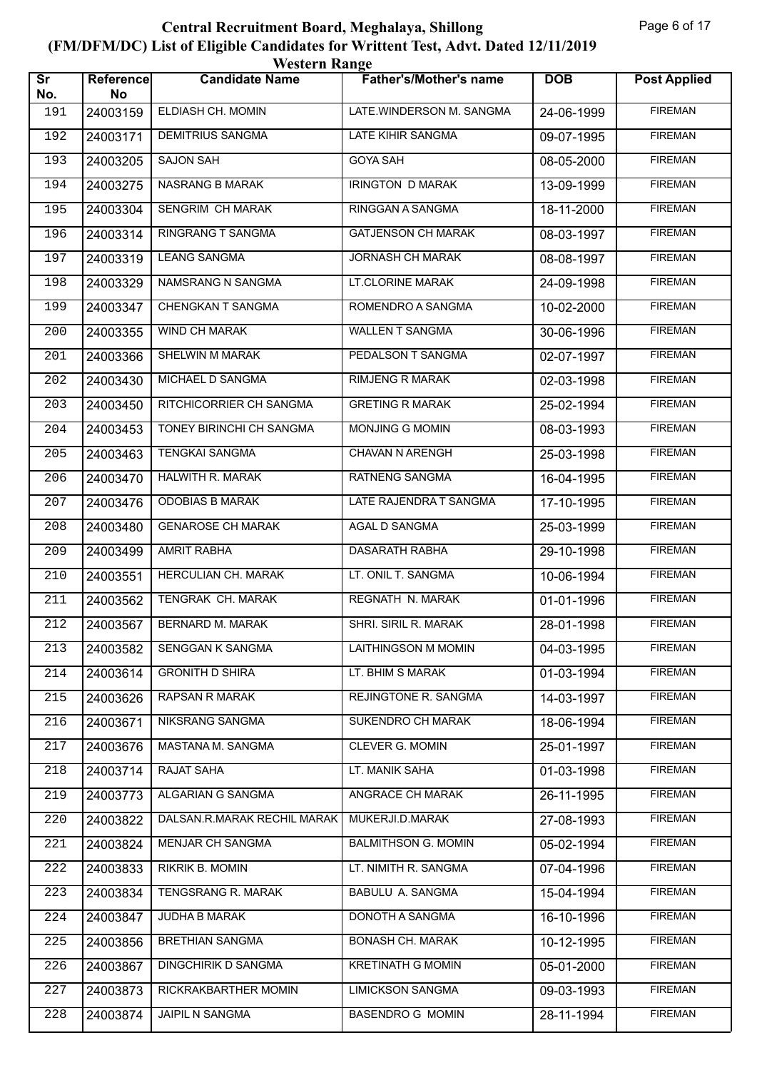| <b>Western Range</b>          |                        |                             |                               |            |                     |  |  |
|-------------------------------|------------------------|-----------------------------|-------------------------------|------------|---------------------|--|--|
| $\overline{\text{sr}}$<br>No. | <b>Reference</b><br>No | <b>Candidate Name</b>       | <b>Father's/Mother's name</b> | <b>DOB</b> | <b>Post Applied</b> |  |  |
| 191                           | 24003159               | ELDIASH CH. MOMIN           | LATE.WINDERSON M. SANGMA      | 24-06-1999 | <b>FIREMAN</b>      |  |  |
| 192                           | 24003171               | <b>DEMITRIUS SANGMA</b>     | <b>LATE KIHIR SANGMA</b>      | 09-07-1995 | <b>FIREMAN</b>      |  |  |
| 193                           | 24003205               | <b>SAJON SAH</b>            | <b>GOYA SAH</b>               | 08-05-2000 | <b>FIREMAN</b>      |  |  |
| 194                           | 24003275               | <b>NASRANG B MARAK</b>      | <b>IRINGTON D MARAK</b>       | 13-09-1999 | <b>FIREMAN</b>      |  |  |
| 195                           | 24003304               | SENGRIM CH MARAK            | RINGGAN A SANGMA              | 18-11-2000 | <b>FIREMAN</b>      |  |  |
| 196                           | 24003314               | RINGRANG T SANGMA           | <b>GATJENSON CH MARAK</b>     | 08-03-1997 | <b>FIREMAN</b>      |  |  |
| 197                           | 24003319               | <b>LEANG SANGMA</b>         | <b>JORNASH CH MARAK</b>       | 08-08-1997 | <b>FIREMAN</b>      |  |  |
| 198                           | 24003329               | NAMSRANG N SANGMA           | LT.CLORINE MARAK              | 24-09-1998 | <b>FIREMAN</b>      |  |  |
| 199                           | 24003347               | CHENGKAN T SANGMA           | ROMENDRO A SANGMA             | 10-02-2000 | <b>FIREMAN</b>      |  |  |
| 200                           | 24003355               | <b>WIND CH MARAK</b>        | <b>WALLEN T SANGMA</b>        | 30-06-1996 | <b>FIREMAN</b>      |  |  |
| 201                           | 24003366               | <b>SHELWIN M MARAK</b>      | PEDALSON T SANGMA             | 02-07-1997 | <b>FIREMAN</b>      |  |  |
| 202                           | 24003430               | MICHAEL D SANGMA            | <b>RIMJENG R MARAK</b>        | 02-03-1998 | <b>FIREMAN</b>      |  |  |
| 203                           | 24003450               | RITCHICORRIER CH SANGMA     | <b>GRETING R MARAK</b>        | 25-02-1994 | <b>FIREMAN</b>      |  |  |
| 204                           | 24003453               | TONEY BIRINCHI CH SANGMA    | MONJING G MOMIN               | 08-03-1993 | <b>FIREMAN</b>      |  |  |
| 205                           | 24003463               | <b>TENGKAI SANGMA</b>       | CHAVAN N ARENGH               | 25-03-1998 | <b>FIREMAN</b>      |  |  |
| 206                           | 24003470               | <b>HALWITH R. MARAK</b>     | <b>RATNENG SANGMA</b>         | 16-04-1995 | <b>FIREMAN</b>      |  |  |
| 207                           | 24003476               | <b>ODOBIAS B MARAK</b>      | LATE RAJENDRA T SANGMA        | 17-10-1995 | <b>FIREMAN</b>      |  |  |
| 208                           | 24003480               | <b>GENAROSE CH MARAK</b>    | AGAL D SANGMA                 | 25-03-1999 | <b>FIREMAN</b>      |  |  |
| 209                           | 24003499               | <b>AMRIT RABHA</b>          | <b>DASARATH RABHA</b>         | 29-10-1998 | <b>FIREMAN</b>      |  |  |
| 210                           | 24003551               | <b>HERCULIAN CH. MARAK</b>  | LT. ONIL T. SANGMA            | 10-06-1994 | <b>FIREMAN</b>      |  |  |
| 211                           | 24003562               | TENGRAK CH. MARAK           | <b>REGNATH N. MARAK</b>       | 01-01-1996 | <b>FIREMAN</b>      |  |  |
| 212                           | 24003567               | BERNARD M. MARAK            | SHRI. SIRIL R. MARAK          | 28-01-1998 | <b>FIREMAN</b>      |  |  |
| 213                           | 24003582               | <b>SENGGAN K SANGMA</b>     | <b>LAITHINGSON M MOMIN</b>    | 04-03-1995 | <b>FIREMAN</b>      |  |  |
| 214                           | 24003614               | <b>GRONITH D SHIRA</b>      | LT. BHIM S MARAK              | 01-03-1994 | <b>FIREMAN</b>      |  |  |
| 215                           | 24003626               | <b>RAPSAN R MARAK</b>       | REJINGTONE R. SANGMA          | 14-03-1997 | <b>FIREMAN</b>      |  |  |
| 216                           | 24003671               | NIKSRANG SANGMA             | SUKENDRO CH MARAK             | 18-06-1994 | <b>FIREMAN</b>      |  |  |
| 217                           | 24003676               | MASTANA M. SANGMA           | <b>CLEVER G. MOMIN</b>        | 25-01-1997 | <b>FIREMAN</b>      |  |  |
| 218                           | 24003714               | RAJAT SAHA                  | LT. MANIK SAHA                | 01-03-1998 | <b>FIREMAN</b>      |  |  |
| 219                           | 24003773               | ALGARIAN G SANGMA           | <b>ANGRACE CH MARAK</b>       | 26-11-1995 | <b>FIREMAN</b>      |  |  |
| 220                           | 24003822               | DALSAN.R.MARAK RECHIL MARAK | MUKERJI.D.MARAK               | 27-08-1993 | <b>FIREMAN</b>      |  |  |
| 221                           | 24003824               | <b>MENJAR CH SANGMA</b>     | <b>BALMITHSON G. MOMIN</b>    | 05-02-1994 | <b>FIREMAN</b>      |  |  |
| 222                           | 24003833               | RIKRIK B. MOMIN             | LT. NIMITH R. SANGMA          | 07-04-1996 | <b>FIREMAN</b>      |  |  |
| 223                           | 24003834               | TENGSRANG R. MARAK          | <b>BABULU A. SANGMA</b>       | 15-04-1994 | <b>FIREMAN</b>      |  |  |
| 224                           | 24003847               | <b>JUDHA B MARAK</b>        | DONOTH A SANGMA               | 16-10-1996 | <b>FIREMAN</b>      |  |  |
| 225                           | 24003856               | <b>BRETHIAN SANGMA</b>      | <b>BONASH CH. MARAK</b>       | 10-12-1995 | <b>FIREMAN</b>      |  |  |
| 226                           | 24003867               | <b>DINGCHIRIK D SANGMA</b>  | <b>KRETINATH G MOMIN</b>      | 05-01-2000 | <b>FIREMAN</b>      |  |  |
| 227                           | 24003873               | RICKRAKBARTHER MOMIN        | <b>LIMICKSON SANGMA</b>       | 09-03-1993 | <b>FIREMAN</b>      |  |  |
| 228                           | 24003874               | JAIPIL N SANGMA             | <b>BASENDRO G MOMIN</b>       | 28-11-1994 | <b>FIREMAN</b>      |  |  |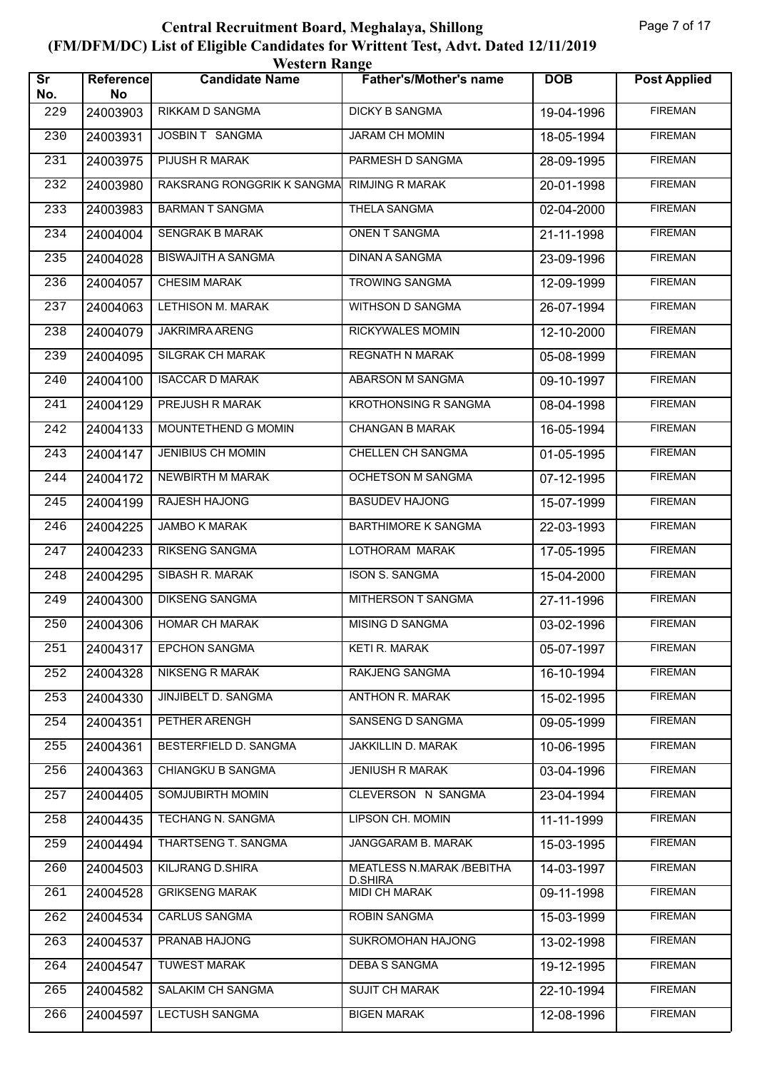| <b>Western Range</b>          |                        |                            |                                       |                          |                     |  |  |
|-------------------------------|------------------------|----------------------------|---------------------------------------|--------------------------|---------------------|--|--|
| $\overline{\text{sr}}$<br>No. | <b>Reference</b><br>No | <b>Candidate Name</b>      | <b>Father's/Mother's name</b>         | <b>DOB</b>               | <b>Post Applied</b> |  |  |
| 229                           | 24003903               | RIKKAM D SANGMA            | <b>DICKY B SANGMA</b>                 | 19-04-1996               | <b>FIREMAN</b>      |  |  |
| 230                           | 24003931               | JOSBIN T SANGMA            | <b>JARAM CH MOMIN</b>                 | 18-05-1994               | <b>FIREMAN</b>      |  |  |
| 231                           | 24003975               | PIJUSH R MARAK             | PARMESH D SANGMA                      | 28-09-1995               | <b>FIREMAN</b>      |  |  |
| 232                           | 24003980               | RAKSRANG RONGGRIK K SANGMA | <b>RIMJING R MARAK</b>                | 20-01-1998               | <b>FIREMAN</b>      |  |  |
| 233                           | 24003983               | <b>BARMAN T SANGMA</b>     | <b>THELA SANGMA</b>                   | 02-04-2000               | <b>FIREMAN</b>      |  |  |
| 234                           | 24004004               | <b>SENGRAK B MARAK</b>     | ONEN T SANGMA                         | 21-11-1998               | <b>FIREMAN</b>      |  |  |
| 235                           | 24004028               | <b>BISWAJITH A SANGMA</b>  | <b>DINAN A SANGMA</b>                 | 23-09-1996               | <b>FIREMAN</b>      |  |  |
| 236                           | 24004057               | <b>CHESIM MARAK</b>        | <b>TROWING SANGMA</b>                 | 12-09-1999               | <b>FIREMAN</b>      |  |  |
| 237                           | 24004063               | <b>LETHISON M. MARAK</b>   | <b>WITHSON D SANGMA</b>               | 26-07-1994               | <b>FIREMAN</b>      |  |  |
| 238                           | 24004079               | JAKRIMRA ARENG             | RICKYWALES MOMIN                      | 12-10-2000               | <b>FIREMAN</b>      |  |  |
| 239                           | 24004095               | <b>SILGRAK CH MARAK</b>    | <b>REGNATH N MARAK</b>                | 05-08-1999               | <b>FIREMAN</b>      |  |  |
| 240                           | 24004100               | <b>ISACCAR D MARAK</b>     | ABARSON M SANGMA                      | 09-10-1997               | <b>FIREMAN</b>      |  |  |
| 241                           | 24004129               | PREJUSH R MARAK            | <b>KROTHONSING R SANGMA</b>           | 08-04-1998               | <b>FIREMAN</b>      |  |  |
| 242                           | 24004133               | MOUNTETHEND G MOMIN        | <b>CHANGAN B MARAK</b>                | 16-05-1994               | <b>FIREMAN</b>      |  |  |
| 243                           | 24004147               | <b>JENIBIUS CH MOMIN</b>   | CHELLEN CH SANGMA                     | $\overline{0}$ 1-05-1995 | <b>FIREMAN</b>      |  |  |
| 244                           | 24004172               | NEWBIRTH M MARAK           | <b>OCHETSON M SANGMA</b>              | 07-12-1995               | <b>FIREMAN</b>      |  |  |
| 245                           | 24004199               | RAJESH HAJONG              | <b>BASUDEV HAJONG</b>                 | 15-07-1999               | <b>FIREMAN</b>      |  |  |
| 246                           | 24004225               | JAMBO K MARAK              | <b>BARTHIMORE K SANGMA</b>            | 22-03-1993               | <b>FIREMAN</b>      |  |  |
| 247                           | 24004233               | RIKSENG SANGMA             | LOTHORAM MARAK                        | 17-05-1995               | <b>FIREMAN</b>      |  |  |
| 248                           | 24004295               | <b>SIBASH R. MARAK</b>     | <b>ISON S. SANGMA</b>                 | 15-04-2000               | <b>FIREMAN</b>      |  |  |
| 249                           | 24004300               | <b>DIKSENG SANGMA</b>      | MITHERSON T SANGMA                    | 27-11-1996               | <b>FIREMAN</b>      |  |  |
| 250                           | 24004306               | <b>HOMAR CH MARAK</b>      | MISING D SANGMA                       | 03-02-1996               | <b>FIREMAN</b>      |  |  |
| 251                           | 24004317               | <b>EPCHON SANGMA</b>       | KETI R. MARAK                         | 05-07-1997               | <b>FIREMAN</b>      |  |  |
| 252                           | 24004328               | NIKSENG R MARAK            | RAKJENG SANGMA                        | 16-10-1994               | <b>FIREMAN</b>      |  |  |
| 253                           | 24004330               | <b>JINJIBELT D. SANGMA</b> | <b>ANTHON R. MARAK</b>                | 15-02-1995               | <b>FIREMAN</b>      |  |  |
| 254                           | 24004351               | PETHER ARENGH              | SANSENG D SANGMA                      | 09-05-1999               | <b>FIREMAN</b>      |  |  |
| 255                           | 24004361               | BESTERFIELD D. SANGMA      | <b>JAKKILLIN D. MARAK</b>             | 10-06-1995               | <b>FIREMAN</b>      |  |  |
| 256                           | 24004363               | CHIANGKU B SANGMA          | JENIUSH R MARAK                       | 03-04-1996               | <b>FIREMAN</b>      |  |  |
| 257                           | 24004405               | SOMJUBIRTH MOMIN           | CLEVERSON N SANGMA                    | 23-04-1994               | <b>FIREMAN</b>      |  |  |
| 258                           | 24004435               | <b>TECHANG N. SANGMA</b>   | <b>LIPSON CH. MOMIN</b>               | 11-11-1999               | <b>FIREMAN</b>      |  |  |
| 259                           | 24004494               | THARTSENG T. SANGMA        | JANGGARAM B. MARAK                    | 15-03-1995               | <b>FIREMAN</b>      |  |  |
| 260                           | 24004503               | KILJRANG D.SHIRA           | MEATLESS N.MARAK / BEBITHA<br>D.SHIRA | 14-03-1997               | <b>FIREMAN</b>      |  |  |
| 261                           | 24004528               | <b>GRIKSENG MARAK</b>      | MIDI CH MARAK                         | 09-11-1998               | <b>FIREMAN</b>      |  |  |
| 262                           | 24004534               | <b>CARLUS SANGMA</b>       | <b>ROBIN SANGMA</b>                   | 15-03-1999               | <b>FIREMAN</b>      |  |  |
| 263                           | 24004537               | <b>PRANAB HAJONG</b>       | SUKROMOHAN HAJONG                     | 13-02-1998               | <b>FIREMAN</b>      |  |  |
| 264                           | 24004547               | <b>TUWEST MARAK</b>        | <b>DEBAS SANGMA</b>                   | 19-12-1995               | <b>FIREMAN</b>      |  |  |
| 265                           | 24004582               | SALAKIM CH SANGMA          | <b>SUJIT CH MARAK</b>                 | 22-10-1994               | <b>FIREMAN</b>      |  |  |
| 266                           | 24004597               | <b>LECTUSH SANGMA</b>      | <b>BIGEN MARAK</b>                    | 12-08-1996               | <b>FIREMAN</b>      |  |  |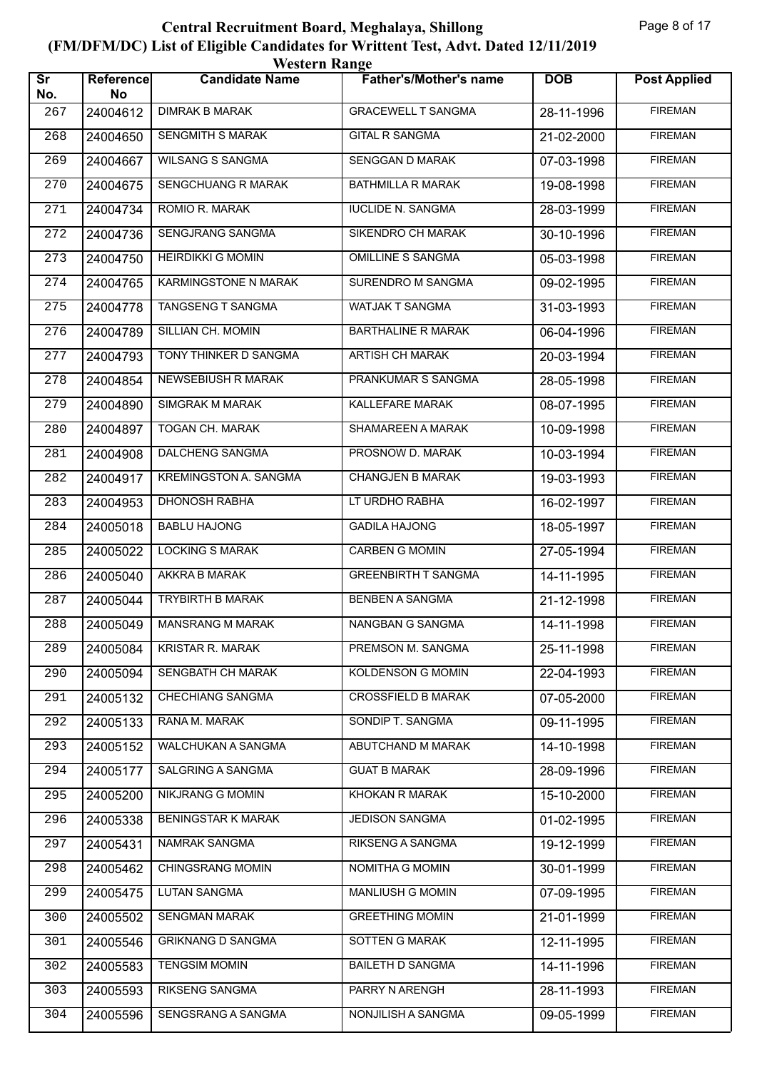| <b>Western Range</b>          |                        |                              |                               |            |                     |  |  |
|-------------------------------|------------------------|------------------------------|-------------------------------|------------|---------------------|--|--|
| $\overline{\text{Sr}}$<br>No. | <b>Reference</b><br>No | <b>Candidate Name</b>        | <b>Father's/Mother's name</b> | <b>DOB</b> | <b>Post Applied</b> |  |  |
| 267                           | 24004612               | <b>DIMRAK B MARAK</b>        | <b>GRACEWELL T SANGMA</b>     | 28-11-1996 | <b>FIREMAN</b>      |  |  |
| 268                           | 24004650               | <b>SENGMITH S MARAK</b>      | <b>GITAL R SANGMA</b>         | 21-02-2000 | <b>FIREMAN</b>      |  |  |
| 269                           | 24004667               | <b>WILSANG S SANGMA</b>      | SENGGAN D MARAK               | 07-03-1998 | <b>FIREMAN</b>      |  |  |
| 270                           | 24004675               | <b>SENGCHUANG R MARAK</b>    | <b>BATHMILLA R MARAK</b>      | 19-08-1998 | <b>FIREMAN</b>      |  |  |
| 271                           | 24004734               | ROMIO R. MARAK               | <b>IUCLIDE N. SANGMA</b>      | 28-03-1999 | <b>FIREMAN</b>      |  |  |
| 272                           | 24004736               | SENGJRANG SANGMA             | <b>SIKENDRO CH MARAK</b>      | 30-10-1996 | <b>FIREMAN</b>      |  |  |
| 273                           | 24004750               | <b>HEIRDIKKI G MOMIN</b>     | <b>OMILLINE S SANGMA</b>      | 05-03-1998 | <b>FIREMAN</b>      |  |  |
| 274                           | 24004765               | KARMINGSTONE N MARAK         | SURENDRO M SANGMA             | 09-02-1995 | <b>FIREMAN</b>      |  |  |
| 275                           | 24004778               | <b>TANGSENG T SANGMA</b>     | WATJAK T SANGMA               | 31-03-1993 | <b>FIREMAN</b>      |  |  |
| 276                           | 24004789               | SILLIAN CH. MOMIN            | <b>BARTHALINE R MARAK</b>     | 06-04-1996 | <b>FIREMAN</b>      |  |  |
| 277                           | 24004793               | TONY THINKER D SANGMA        | <b>ARTISH CH MARAK</b>        | 20-03-1994 | <b>FIREMAN</b>      |  |  |
| 278                           | 24004854               | <b>NEWSEBIUSH R MARAK</b>    | PRANKUMAR S SANGMA            | 28-05-1998 | <b>FIREMAN</b>      |  |  |
| 279                           | 24004890               | <b>SIMGRAK M MARAK</b>       | KALLEFARE MARAK               | 08-07-1995 | <b>FIREMAN</b>      |  |  |
| 280                           | 24004897               | <b>TOGAN CH. MARAK</b>       | SHAMAREEN A MARAK             | 10-09-1998 | <b>FIREMAN</b>      |  |  |
| 281                           | 24004908               | DALCHENG SANGMA              | PROSNOW D. MARAK              | 10-03-1994 | <b>FIREMAN</b>      |  |  |
| 282                           | 24004917               | <b>KREMINGSTON A. SANGMA</b> | <b>CHANGJEN B MARAK</b>       | 19-03-1993 | <b>FIREMAN</b>      |  |  |
| 283                           | 24004953               | <b>DHONOSH RABHA</b>         | LT URDHO RABHA                | 16-02-1997 | <b>FIREMAN</b>      |  |  |
| 284                           | 24005018               | <b>BABLU HAJONG</b>          | <b>GADILA HAJONG</b>          | 18-05-1997 | <b>FIREMAN</b>      |  |  |
| 285                           | 24005022               | <b>LOCKING S MARAK</b>       | <b>CARBEN G MOMIN</b>         | 27-05-1994 | <b>FIREMAN</b>      |  |  |
| 286                           | 24005040               | <b>AKKRA B MARAK</b>         | <b>GREENBIRTH T SANGMA</b>    | 14-11-1995 | <b>FIREMAN</b>      |  |  |
| 287                           | 24005044               | <b>TRYBIRTH B MARAK</b>      | <b>BENBEN A SANGMA</b>        | 21-12-1998 | <b>FIREMAN</b>      |  |  |
| 288                           | 24005049               | <b>MANSRANG M MARAK</b>      | NANGBAN G SANGMA              | 14-11-1998 | <b>FIREMAN</b>      |  |  |
| 289                           | 24005084               | <b>KRISTAR R. MARAK</b>      | PREMSON M. SANGMA             | 25-11-1998 | <b>FIREMAN</b>      |  |  |
| 290                           | 24005094               | SENGBATH CH MARAK            | <b>KOLDENSON G MOMIN</b>      | 22-04-1993 | <b>FIREMAN</b>      |  |  |
| 291                           | 24005132               | <b>CHECHIANG SANGMA</b>      | <b>CROSSFIELD B MARAK</b>     | 07-05-2000 | <b>FIREMAN</b>      |  |  |
| 292                           | 24005133               | RANA M. MARAK                | SONDIP T. SANGMA              | 09-11-1995 | <b>FIREMAN</b>      |  |  |
| 293                           | 24005152               | WALCHUKAN A SANGMA           | ABUTCHAND M MARAK             | 14-10-1998 | <b>FIREMAN</b>      |  |  |
| 294                           | 24005177               | SALGRING A SANGMA            | <b>GUAT B MARAK</b>           | 28-09-1996 | <b>FIREMAN</b>      |  |  |
| 295                           | 24005200               | <b>NIKJRANG G MOMIN</b>      | <b>KHOKAN R MARAK</b>         | 15-10-2000 | <b>FIREMAN</b>      |  |  |
| 296                           | 24005338               | <b>BENINGSTAR K MARAK</b>    | <b>JEDISON SANGMA</b>         | 01-02-1995 | <b>FIREMAN</b>      |  |  |
| 297                           | 24005431               | NAMRAK SANGMA                | RIKSENG A SANGMA              | 19-12-1999 | <b>FIREMAN</b>      |  |  |
| 298                           | 24005462               | CHINGSRANG MOMIN             | NOMITHA G MOMIN               | 30-01-1999 | <b>FIREMAN</b>      |  |  |
| 299                           | 24005475               | <b>LUTAN SANGMA</b>          | MANLIUSH G MOMIN              | 07-09-1995 | <b>FIREMAN</b>      |  |  |
| 300                           | 24005502               | <b>SENGMAN MARAK</b>         | <b>GREETHING MOMIN</b>        | 21-01-1999 | <b>FIREMAN</b>      |  |  |
| 301                           | 24005546               | <b>GRIKNANG D SANGMA</b>     | SOTTEN G MARAK                | 12-11-1995 | <b>FIREMAN</b>      |  |  |
| 302                           | 24005583               | <b>TENGSIM MOMIN</b>         | <b>BAILETH D SANGMA</b>       | 14-11-1996 | <b>FIREMAN</b>      |  |  |
| 303                           | 24005593               | RIKSENG SANGMA               | PARRY N ARENGH                | 28-11-1993 | <b>FIREMAN</b>      |  |  |
| 304                           | 24005596               | SENGSRANG A SANGMA           | NONJILISH A SANGMA            | 09-05-1999 | <b>FIREMAN</b>      |  |  |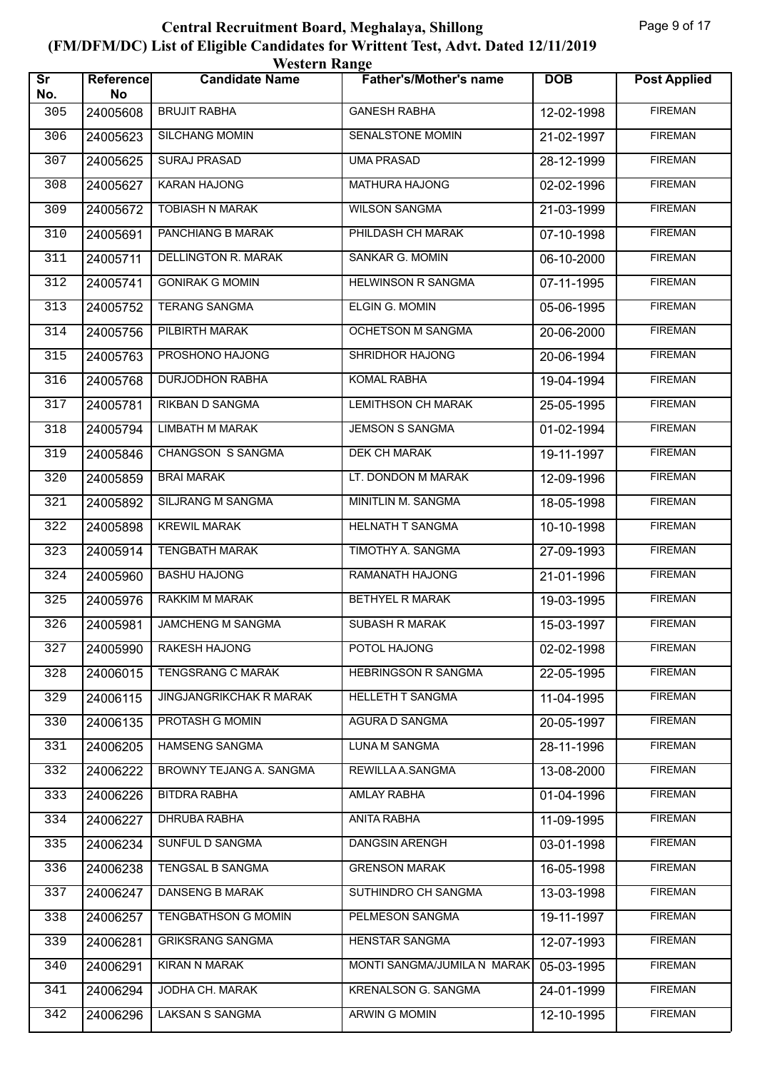| <b>Western Range</b>          |                        |                                |                               |            |                     |  |  |
|-------------------------------|------------------------|--------------------------------|-------------------------------|------------|---------------------|--|--|
| $\overline{\text{Sr}}$<br>No. | <b>Reference</b><br>No | <b>Candidate Name</b>          | <b>Father's/Mother's name</b> | <b>DOB</b> | <b>Post Applied</b> |  |  |
| 305                           | 24005608               | <b>BRUJIT RABHA</b>            | <b>GANESH RABHA</b>           | 12-02-1998 | <b>FIREMAN</b>      |  |  |
| 306                           | 24005623               | <b>SILCHANG MOMIN</b>          | <b>SENALSTONE MOMIN</b>       | 21-02-1997 | <b>FIREMAN</b>      |  |  |
| 307                           | 24005625               | <b>SURAJ PRASAD</b>            | <b>UMA PRASAD</b>             | 28-12-1999 | <b>FIREMAN</b>      |  |  |
| 308                           | 24005627               | <b>KARAN HAJONG</b>            | <b>MATHURA HAJONG</b>         | 02-02-1996 | <b>FIREMAN</b>      |  |  |
| 309                           | 24005672               | <b>TOBIASH N MARAK</b>         | <b>WILSON SANGMA</b>          | 21-03-1999 | <b>FIREMAN</b>      |  |  |
| 310                           | 24005691               | PANCHIANG B MARAK              | PHILDASH CH MARAK             | 07-10-1998 | <b>FIREMAN</b>      |  |  |
| 311                           | 24005711               | <b>DELLINGTON R. MARAK</b>     | <b>SANKAR G. MOMIN</b>        | 06-10-2000 | <b>FIREMAN</b>      |  |  |
| 312                           | 24005741               | <b>GONIRAK G MOMIN</b>         | <b>HELWINSON R SANGMA</b>     | 07-11-1995 | <b>FIREMAN</b>      |  |  |
| 313                           | 24005752               | <b>TERANG SANGMA</b>           | <b>ELGIN G. MOMIN</b>         | 05-06-1995 | <b>FIREMAN</b>      |  |  |
| 314                           | 24005756               | PILBIRTH MARAK                 | <b>OCHETSON M SANGMA</b>      | 20-06-2000 | <b>FIREMAN</b>      |  |  |
| 315                           | 24005763               | PROSHONO HAJONG                | <b>SHRIDHOR HAJONG</b>        | 20-06-1994 | <b>FIREMAN</b>      |  |  |
| 316                           | 24005768               | <b>DURJODHON RABHA</b>         | <b>KOMAL RABHA</b>            | 19-04-1994 | <b>FIREMAN</b>      |  |  |
| 317                           | 24005781               | RIKBAN D SANGMA                | <b>LEMITHSON CH MARAK</b>     | 25-05-1995 | <b>FIREMAN</b>      |  |  |
| 318                           | 24005794               | <b>LIMBATH M MARAK</b>         | <b>JEMSON S SANGMA</b>        | 01-02-1994 | <b>FIREMAN</b>      |  |  |
| 319                           | 24005846               | CHANGSON S SANGMA              | <b>DEK CH MARAK</b>           | 19-11-1997 | <b>FIREMAN</b>      |  |  |
| 320                           | 24005859               | <b>BRAI MARAK</b>              | LT. DONDON M MARAK            | 12-09-1996 | <b>FIREMAN</b>      |  |  |
| 321                           | 24005892               | SILJRANG M SANGMA              | MINITLIN M. SANGMA            | 18-05-1998 | <b>FIREMAN</b>      |  |  |
| 322                           | 24005898               | <b>KREWIL MARAK</b>            | <b>HELNATH T SANGMA</b>       | 10-10-1998 | <b>FIREMAN</b>      |  |  |
| 323                           | 24005914               | <b>TENGBATH MARAK</b>          | TIMOTHY A. SANGMA             | 27-09-1993 | <b>FIREMAN</b>      |  |  |
| 324                           | 24005960               | <b>BASHU HAJONG</b>            | RAMANATH HAJONG               | 21-01-1996 | <b>FIREMAN</b>      |  |  |
| 325                           | 24005976               | RAKKIM M MARAK                 | <b>BETHYEL R MARAK</b>        | 19-03-1995 | <b>FIREMAN</b>      |  |  |
| 326                           | 24005981               | JAMCHENG M SANGMA              | SUBASH R MARAK                | 15-03-1997 | <b>FIREMAN</b>      |  |  |
| 327                           | 24005990               | <b>RAKESH HAJONG</b>           | POTOL HAJONG                  | 02-02-1998 | <b>FIREMAN</b>      |  |  |
| 328                           | 24006015               | TENGSRANG C MARAK              | HEBRINGSON R SANGMA           | 22-05-1995 | <b>FIREMAN</b>      |  |  |
| 329                           | 24006115               | <b>JINGJANGRIKCHAK R MARAK</b> | <b>HELLETH T SANGMA</b>       | 11-04-1995 | <b>FIREMAN</b>      |  |  |
| 330                           | 24006135               | PROTASH G MOMIN                | AGURA D SANGMA                | 20-05-1997 | <b>FIREMAN</b>      |  |  |
| 331                           | 24006205               | <b>HAMSENG SANGMA</b>          | <b>LUNA M SANGMA</b>          | 28-11-1996 | <b>FIREMAN</b>      |  |  |
| 332                           | 24006222               | BROWNY TEJANG A. SANGMA        | REWILLA A.SANGMA              | 13-08-2000 | <b>FIREMAN</b>      |  |  |
| 333                           | 24006226               | <b>BITDRA RABHA</b>            | AMLAY RABHA                   | 01-04-1996 | <b>FIREMAN</b>      |  |  |
| 334                           | 24006227               | DHRUBA RABHA                   | ANITA RABHA                   | 11-09-1995 | <b>FIREMAN</b>      |  |  |
| 335                           | 24006234               | SUNFUL D SANGMA                | <b>DANGSIN ARENGH</b>         | 03-01-1998 | <b>FIREMAN</b>      |  |  |
| 336                           | 24006238               | TENGSAL B SANGMA               | <b>GRENSON MARAK</b>          | 16-05-1998 | <b>FIREMAN</b>      |  |  |
| 337                           | 24006247               | DANSENG B MARAK                | SUTHINDRO CH SANGMA           | 13-03-1998 | <b>FIREMAN</b>      |  |  |
| 338                           | 24006257               | <b>TENGBATHSON G MOMIN</b>     | PELMESON SANGMA               | 19-11-1997 | <b>FIREMAN</b>      |  |  |
| 339                           | 24006281               | <b>GRIKSRANG SANGMA</b>        | <b>HENSTAR SANGMA</b>         | 12-07-1993 | <b>FIREMAN</b>      |  |  |
| 340                           | 24006291               | KIRAN N MARAK                  | MONTI SANGMA/JUMILA N MARAK   | 05-03-1995 | <b>FIREMAN</b>      |  |  |
| 341                           | 24006294               | JODHA CH. MARAK                | KRENALSON G. SANGMA           | 24-01-1999 | <b>FIREMAN</b>      |  |  |
| 342                           | 24006296               | LAKSAN S SANGMA                | <b>ARWIN G MOMIN</b>          | 12-10-1995 | <b>FIREMAN</b>      |  |  |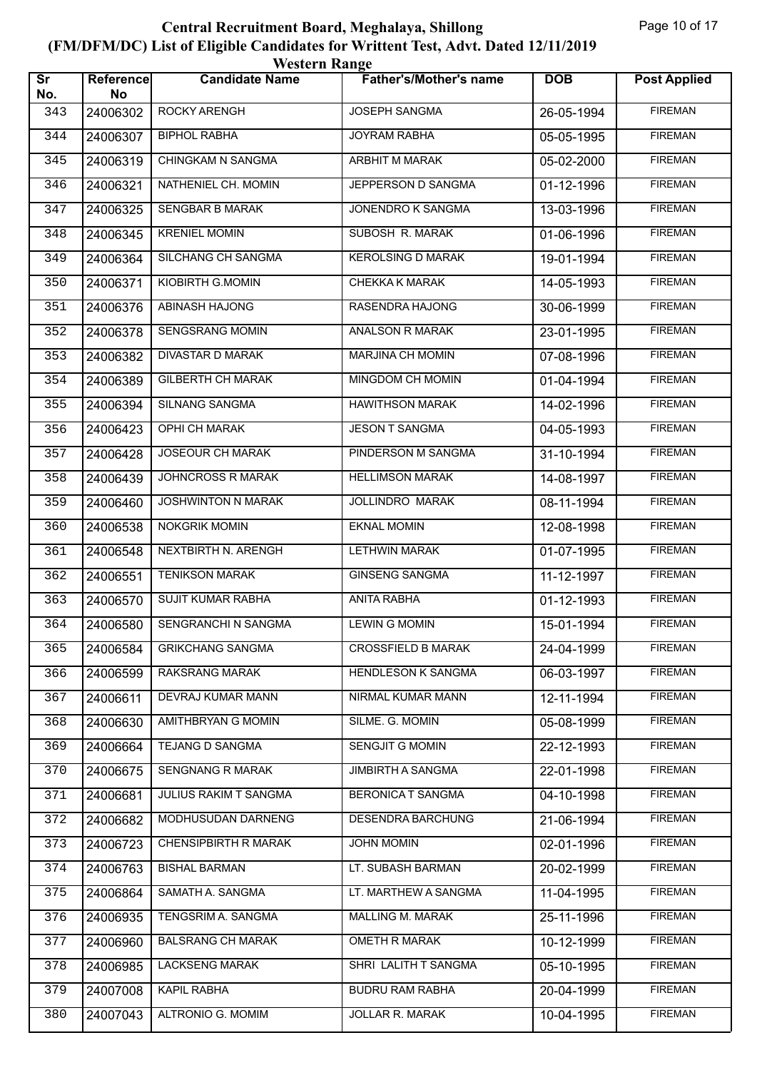| <b>Western Range</b>          |                        |                             |                               |            |                     |  |  |
|-------------------------------|------------------------|-----------------------------|-------------------------------|------------|---------------------|--|--|
| $\overline{\text{sr}}$<br>No. | <b>Reference</b><br>No | <b>Candidate Name</b>       | <b>Father's/Mother's name</b> | <b>DOB</b> | <b>Post Applied</b> |  |  |
| 343                           | 24006302               | ROCKY ARENGH                | JOSEPH SANGMA                 | 26-05-1994 | <b>FIREMAN</b>      |  |  |
| 344                           | 24006307               | <b>BIPHOL RABHA</b>         | <b>JOYRAM RABHA</b>           | 05-05-1995 | <b>FIREMAN</b>      |  |  |
| 345                           | 24006319               | CHINGKAM N SANGMA           | ARBHIT M MARAK                | 05-02-2000 | <b>FIREMAN</b>      |  |  |
| 346                           | 24006321               | NATHENIEL CH. MOMIN         | JEPPERSON D SANGMA            | 01-12-1996 | <b>FIREMAN</b>      |  |  |
| 347                           | 24006325               | <b>SENGBAR B MARAK</b>      | JONENDRO K SANGMA             | 13-03-1996 | <b>FIREMAN</b>      |  |  |
| 348                           | 24006345               | <b>KRENIEL MOMIN</b>        | <b>SUBOSH R. MARAK</b>        | 01-06-1996 | <b>FIREMAN</b>      |  |  |
| 349                           | 24006364               | <b>SILCHANG CH SANGMA</b>   | <b>KEROLSING D MARAK</b>      | 19-01-1994 | <b>FIREMAN</b>      |  |  |
| 350                           | 24006371               | KIOBIRTH G.MOMIN            | CHEKKA K MARAK                | 14-05-1993 | <b>FIREMAN</b>      |  |  |
| 351                           | 24006376               | <b>ABINASH HAJONG</b>       | <b>RASENDRA HAJONG</b>        | 30-06-1999 | <b>FIREMAN</b>      |  |  |
| 352                           | 24006378               | <b>SENGSRANG MOMIN</b>      | ANALSON R MARAK               | 23-01-1995 | <b>FIREMAN</b>      |  |  |
| 353                           | 24006382               | <b>DIVASTAR D MARAK</b>     | <b>MARJINA CH MOMIN</b>       | 07-08-1996 | <b>FIREMAN</b>      |  |  |
| 354                           | 24006389               | <b>GILBERTH CH MARAK</b>    | MINGDOM CH MOMIN              | 01-04-1994 | <b>FIREMAN</b>      |  |  |
| 355                           | 24006394               | SILNANG SANGMA              | <b>HAWITHSON MARAK</b>        | 14-02-1996 | <b>FIREMAN</b>      |  |  |
| 356                           | 24006423               | <b>OPHI CH MARAK</b>        | <b>JESON T SANGMA</b>         | 04-05-1993 | <b>FIREMAN</b>      |  |  |
| 357                           | 24006428               | <b>JOSEOUR CH MARAK</b>     | PINDERSON M SANGMA            | 31-10-1994 | <b>FIREMAN</b>      |  |  |
| 358                           | 24006439               | JOHNCROSS R MARAK           | <b>HELLIMSON MARAK</b>        | 14-08-1997 | <b>FIREMAN</b>      |  |  |
| 359                           | 24006460               | JOSHWINTON N MARAK          | <b>JOLLINDRO MARAK</b>        | 08-11-1994 | <b>FIREMAN</b>      |  |  |
| 360                           | 24006538               | NOKGRIK MOMIN               | <b>EKNAL MOMIN</b>            | 12-08-1998 | <b>FIREMAN</b>      |  |  |
| 361                           | 24006548               | NEXTBIRTH N. ARENGH         | <b>LETHWIN MARAK</b>          | 01-07-1995 | <b>FIREMAN</b>      |  |  |
| 362                           | 24006551               | <b>TENIKSON MARAK</b>       | <b>GINSENG SANGMA</b>         | 11-12-1997 | <b>FIREMAN</b>      |  |  |
| 363                           | 24006570               | <b>SUJIT KUMAR RABHA</b>    | <b>ANITA RABHA</b>            | 01-12-1993 | <b>FIREMAN</b>      |  |  |
| 364                           | 24006580               | SENGRANCHI N SANGMA         | <b>LEWIN G MOMIN</b>          | 15-01-1994 | <b>FIREMAN</b>      |  |  |
| 365                           | 24006584               | <b>GRIKCHANG SANGMA</b>     | <b>CROSSFIELD B MARAK</b>     | 24-04-1999 | <b>FIREMAN</b>      |  |  |
| 366                           | 24006599               | RAKSRANG MARAK              | <b>HENDLESON K SANGMA</b>     | 06-03-1997 | <b>FIREMAN</b>      |  |  |
| 367                           | 24006611               | DEVRAJ KUMAR MANN           | NIRMAL KUMAR MANN             | 12-11-1994 | <b>FIREMAN</b>      |  |  |
| 368                           | 24006630               | AMITHBRYAN G MOMIN          | SILME. G. MOMIN               | 05-08-1999 | <b>FIREMAN</b>      |  |  |
| 369                           | 24006664               | TEJANG D SANGMA             | SENGJIT G MOMIN               | 22-12-1993 | <b>FIREMAN</b>      |  |  |
| 370                           | 24006675               | SENGNANG R MARAK            | JIMBIRTH A SANGMA             | 22-01-1998 | <b>FIREMAN</b>      |  |  |
| 371                           | 24006681               | JULIUS RAKIM T SANGMA       | <b>BERONICA T SANGMA</b>      | 04-10-1998 | <b>FIREMAN</b>      |  |  |
| 372                           | 24006682               | MODHUSUDAN DARNENG          | DESENDRA BARCHUNG             | 21-06-1994 | <b>FIREMAN</b>      |  |  |
| 373                           | 24006723               | <b>CHENSIPBIRTH R MARAK</b> | <b>JOHN MOMIN</b>             | 02-01-1996 | <b>FIREMAN</b>      |  |  |
| 374                           | 24006763               | <b>BISHAL BARMAN</b>        | LT. SUBASH BARMAN             | 20-02-1999 | <b>FIREMAN</b>      |  |  |
| 375                           | 24006864               | SAMATH A. SANGMA            | LT. MARTHEW A SANGMA          | 11-04-1995 | <b>FIREMAN</b>      |  |  |
| 376                           | 24006935               | TENGSRIM A. SANGMA          | <b>MALLING M. MARAK</b>       | 25-11-1996 | <b>FIREMAN</b>      |  |  |
| 377                           | 24006960               | <b>BALSRANG CH MARAK</b>    | <b>OMETH R MARAK</b>          | 10-12-1999 | <b>FIREMAN</b>      |  |  |
| 378                           | 24006985               | <b>LACKSENG MARAK</b>       | SHRI LALITH T SANGMA          | 05-10-1995 | <b>FIREMAN</b>      |  |  |
| 379                           | 24007008               | KAPIL RABHA                 | <b>BUDRU RAM RABHA</b>        | 20-04-1999 | <b>FIREMAN</b>      |  |  |
| 380                           | 24007043               | ALTRONIO G. MOMIM           | JOLLAR R. MARAK               | 10-04-1995 | <b>FIREMAN</b>      |  |  |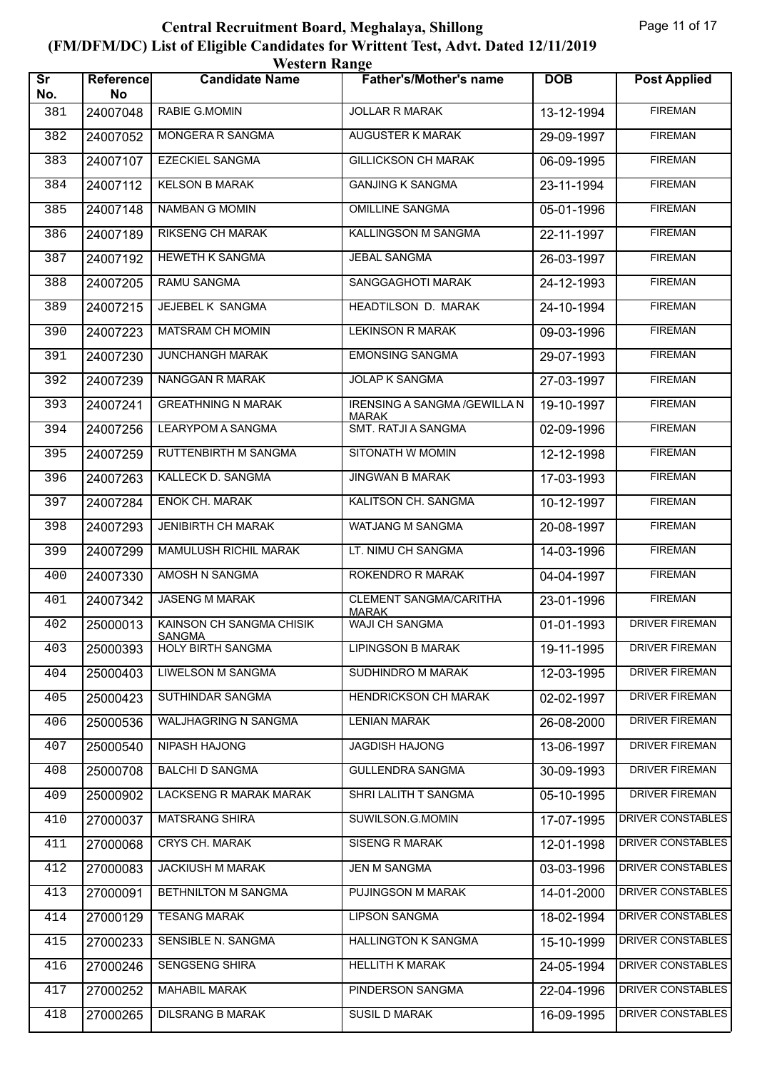| <b>Western Range</b>          |                 |                                           |                                                     |            |                          |  |
|-------------------------------|-----------------|-------------------------------------------|-----------------------------------------------------|------------|--------------------------|--|
| $\overline{\text{sr}}$<br>No. | Reference<br>No | <b>Candidate Name</b>                     | <b>Father's/Mother's name</b>                       | <b>DOB</b> | <b>Post Applied</b>      |  |
| 381                           | 24007048        | RABIE G.MOMIN                             | <b>JOLLAR R MARAK</b>                               | 13-12-1994 | <b>FIREMAN</b>           |  |
| 382                           | 24007052        | MONGERA R SANGMA                          | <b>AUGUSTER K MARAK</b>                             | 29-09-1997 | <b>FIREMAN</b>           |  |
| 383                           | 24007107        | <b>EZECKIEL SANGMA</b>                    | <b>GILLICKSON CH MARAK</b>                          | 06-09-1995 | <b>FIREMAN</b>           |  |
| 384                           | 24007112        | <b>KELSON B MARAK</b>                     | <b>GANJING K SANGMA</b>                             | 23-11-1994 | <b>FIREMAN</b>           |  |
| 385                           | 24007148        | <b>NAMBAN G MOMIN</b>                     | <b>OMILLINE SANGMA</b>                              | 05-01-1996 | <b>FIREMAN</b>           |  |
| 386                           | 24007189        | <b>RIKSENG CH MARAK</b>                   | KALLINGSON M SANGMA                                 | 22-11-1997 | <b>FIREMAN</b>           |  |
| 387                           | 24007192        | <b>HEWETH K SANGMA</b>                    | <b>JEBAL SANGMA</b>                                 | 26-03-1997 | <b>FIREMAN</b>           |  |
| 388                           | 24007205        | <b>RAMU SANGMA</b>                        | SANGGAGHOTI MARAK                                   | 24-12-1993 | <b>FIREMAN</b>           |  |
| 389                           | 24007215        | <b>JEJEBEL K SANGMA</b>                   | HEADTILSON D. MARAK                                 | 24-10-1994 | <b>FIREMAN</b>           |  |
| 390                           | 24007223        | MATSRAM CH MOMIN                          | <b>LEKINSON R MARAK</b>                             | 09-03-1996 | <b>FIREMAN</b>           |  |
| 391                           | 24007230        | <b>JUNCHANGH MARAK</b>                    | <b>EMONSING SANGMA</b>                              | 29-07-1993 | <b>FIREMAN</b>           |  |
| 392                           | 24007239        | NANGGAN R MARAK                           | <b>JOLAP K SANGMA</b>                               | 27-03-1997 | <b>FIREMAN</b>           |  |
| 393                           | 24007241        | <b>GREATHNING N MARAK</b>                 | <b>IRENSING A SANGMA /GEWILLA N</b><br><b>MARAK</b> | 19-10-1997 | <b>FIREMAN</b>           |  |
| 394                           | 24007256        | <b>LEARYPOM A SANGMA</b>                  | <b>SMT. RATJI A SANGMA</b>                          | 02-09-1996 | <b>FIREMAN</b>           |  |
| 395                           | 24007259        | RUTTENBIRTH M SANGMA                      | SITONATH W MOMIN                                    | 12-12-1998 | <b>FIREMAN</b>           |  |
| 396                           | 24007263        | KALLECK D. SANGMA                         | <b>JINGWAN B MARAK</b>                              | 17-03-1993 | <b>FIREMAN</b>           |  |
| 397                           | 24007284        | <b>ENOK CH. MARAK</b>                     | KALITSON CH. SANGMA                                 | 10-12-1997 | <b>FIREMAN</b>           |  |
| 398                           | 24007293        | <b>JENIBIRTH CH MARAK</b>                 | WATJANG M SANGMA                                    | 20-08-1997 | <b>FIREMAN</b>           |  |
| 399                           | 24007299        | MAMULUSH RICHIL MARAK                     | LT. NIMU CH SANGMA                                  | 14-03-1996 | <b>FIREMAN</b>           |  |
| 400                           | 24007330        | AMOSH N SANGMA                            | ROKENDRO R MARAK                                    | 04-04-1997 | <b>FIREMAN</b>           |  |
| 401                           | 24007342        | <b>JASENG M MARAK</b>                     | <b>CLEMENT SANGMA/CARITHA</b><br><b>MARAK</b>       | 23-01-1996 | <b>FIREMAN</b>           |  |
| 402                           | 25000013        | KAINSON CH SANGMA CHISIK<br><b>SANGMA</b> | <b>WAJI CH SANGMA</b>                               | 01-01-1993 | <b>DRIVER FIREMAN</b>    |  |
| 403                           | 25000393        | <b>HOLY BIRTH SANGMA</b>                  | <b>LIPINGSON B MARAK</b>                            | 19-11-1995 | <b>DRIVER FIREMAN</b>    |  |
| 404                           | 25000403        | LIWELSON M SANGMA                         | SUDHINDRO M MARAK                                   | 12-03-1995 | DRIVER FIREMAN           |  |
| 405                           | 25000423        | SUTHINDAR SANGMA                          | HENDRICKSON CH MARAK                                | 02-02-1997 | DRIVER FIREMAN           |  |
| 406                           | 25000536        | WALJHAGRING N SANGMA                      | <b>LENIAN MARAK</b>                                 | 26-08-2000 | DRIVER FIREMAN           |  |
| 407                           | 25000540        | NIPASH HAJONG                             | JAGDISH HAJONG                                      | 13-06-1997 | <b>DRIVER FIREMAN</b>    |  |
| 408                           | 25000708        | <b>BALCHI D SANGMA</b>                    | <b>GULLENDRA SANGMA</b>                             | 30-09-1993 | <b>DRIVER FIREMAN</b>    |  |
| 409                           | 25000902        | LACKSENG R MARAK MARAK                    | SHRI LALITH T SANGMA                                | 05-10-1995 | DRIVER FIREMAN           |  |
| 410                           | 27000037        | <b>MATSRANG SHIRA</b>                     | SUWILSON.G.MOMIN                                    | 17-07-1995 | DRIVER CONSTABLES        |  |
| 411                           | 27000068        | CRYS CH. MARAK                            | SISENG R MARAK                                      | 12-01-1998 | DRIVER CONSTABLES        |  |
| 412                           | 27000083        | JACKIUSH M MARAK                          | <b>JEN M SANGMA</b>                                 | 03-03-1996 | DRIVER CONSTABLES        |  |
| 413                           | 27000091        | BETHNILTON M SANGMA                       | PUJINGSON M MARAK                                   | 14-01-2000 | DRIVER CONSTABLES        |  |
| 414                           | 27000129        | <b>TESANG MARAK</b>                       | <b>LIPSON SANGMA</b>                                | 18-02-1994 | <b>DRIVER CONSTABLES</b> |  |
| 415                           | 27000233        | SENSIBLE N. SANGMA                        | <b>HALLINGTON K SANGMA</b>                          | 15-10-1999 | DRIVER CONSTABLES        |  |
| 416                           | 27000246        | SENGSENG SHIRA                            | <b>HELLITH K MARAK</b>                              | 24-05-1994 | DRIVER CONSTABLES        |  |
| 417                           | 27000252        | MAHABIL MARAK                             | PINDERSON SANGMA                                    | 22-04-1996 | DRIVER CONSTABLES        |  |
| 418                           | 27000265        | <b>DILSRANG B MARAK</b>                   | SUSIL D MARAK                                       | 16-09-1995 | DRIVER CONSTABLES        |  |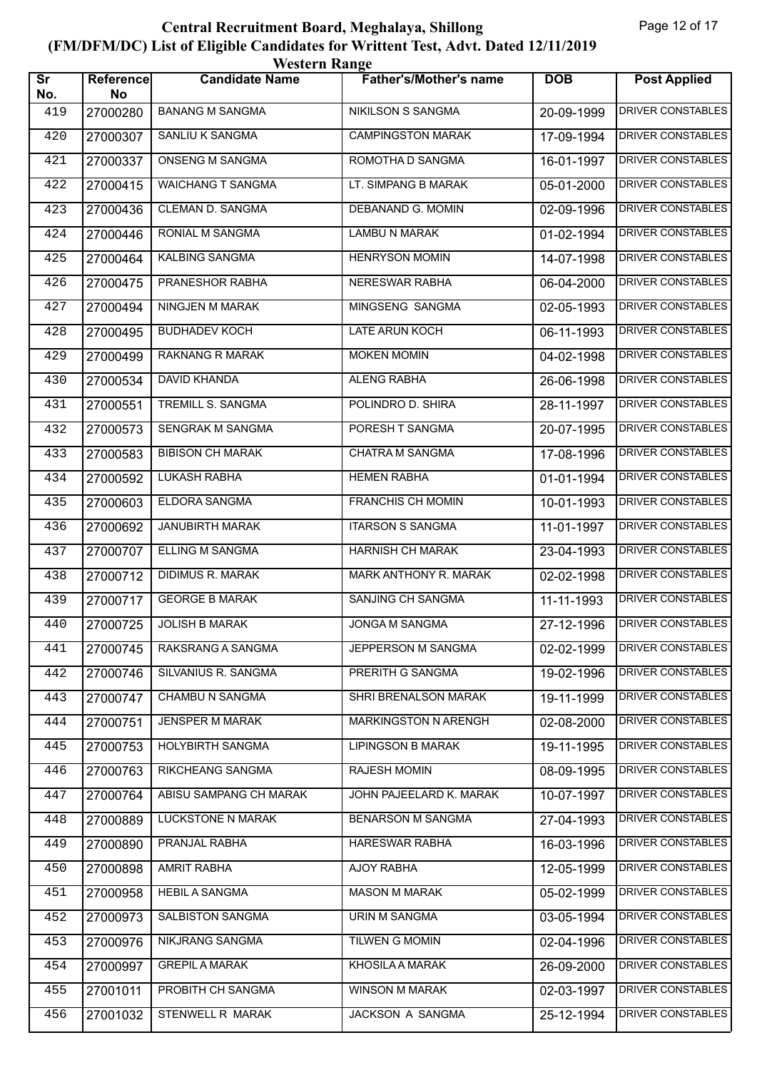| <b>Western Range</b>          |                 |                          |                               |            |                          |  |
|-------------------------------|-----------------|--------------------------|-------------------------------|------------|--------------------------|--|
| $\overline{\text{Sr}}$<br>No. | Reference<br>No | <b>Candidate Name</b>    | <b>Father's/Mother's name</b> | <b>DOB</b> | <b>Post Applied</b>      |  |
| 419                           | 27000280        | <b>BANANG M SANGMA</b>   | NIKILSON S SANGMA             | 20-09-1999 | DRIVER CONSTABLES        |  |
| 420                           | 27000307        | SANLIU K SANGMA          | <b>CAMPINGSTON MARAK</b>      | 17-09-1994 | <b>DRIVER CONSTABLES</b> |  |
| 421                           | 27000337        | ONSENG M SANGMA          | ROMOTHA D SANGMA              | 16-01-1997 | <b>DRIVER CONSTABLES</b> |  |
| 422                           | 27000415        | <b>WAICHANG T SANGMA</b> | LT. SIMPANG B MARAK           | 05-01-2000 | <b>DRIVER CONSTABLES</b> |  |
| 423                           | 27000436        | CLEMAN D. SANGMA         | DEBANAND G. MOMIN             | 02-09-1996 | DRIVER CONSTABLES        |  |
| 424                           | 27000446        | RONIAL M SANGMA          | <b>LAMBU N MARAK</b>          | 01-02-1994 | <b>DRIVER CONSTABLES</b> |  |
| 425                           | 27000464        | <b>KALBING SANGMA</b>    | <b>HENRYSON MOMIN</b>         | 14-07-1998 | <b>DRIVER CONSTABLES</b> |  |
| 426                           | 27000475        | PRANESHOR RABHA          | NERESWAR RABHA                | 06-04-2000 | <b>DRIVER CONSTABLES</b> |  |
| 427                           | 27000494        | <b>NINGJEN M MARAK</b>   | MINGSENG SANGMA               | 02-05-1993 | <b>DRIVER CONSTABLES</b> |  |
| 428                           | 27000495        | <b>BUDHADEV KOCH</b>     | LATE ARUN KOCH                | 06-11-1993 | DRIVER CONSTABLES        |  |
| 429                           | 27000499        | <b>RAKNANG R MARAK</b>   | <b>MOKEN MOMIN</b>            | 04-02-1998 | <b>DRIVER CONSTABLES</b> |  |
| 430                           | 27000534        | <b>DAVID KHANDA</b>      | <b>ALENG RABHA</b>            | 26-06-1998 | <b>DRIVER CONSTABLES</b> |  |
| 431                           | 27000551        | TREMILL S. SANGMA        | POLINDRO D. SHIRA             | 28-11-1997 | <b>DRIVER CONSTABLES</b> |  |
| 432                           | 27000573        | SENGRAK M SANGMA         | PORESH T SANGMA               | 20-07-1995 | <b>DRIVER CONSTABLES</b> |  |
| 433                           | 27000583        | <b>BIBISON CH MARAK</b>  | <b>CHATRA M SANGMA</b>        | 17-08-1996 | <b>DRIVER CONSTABLES</b> |  |
| 434                           | 27000592        | <b>LUKASH RABHA</b>      | <b>HEMEN RABHA</b>            | 01-01-1994 | <b>DRIVER CONSTABLES</b> |  |
| 435                           | 27000603        | ELDORA SANGMA            | <b>FRANCHIS CH MOMIN</b>      | 10-01-1993 | <b>DRIVER CONSTABLES</b> |  |
| 436                           | 27000692        | <b>JANUBIRTH MARAK</b>   | <b>ITARSON S SANGMA</b>       | 11-01-1997 | DRIVER CONSTABLES        |  |
| 437                           | 27000707        | <b>ELLING M SANGMA</b>   | <b>HARNISH CH MARAK</b>       | 23-04-1993 | <b>DRIVER CONSTABLES</b> |  |
| 438                           | 27000712        | DIDIMUS R. MARAK         | MARK ANTHONY R. MARAK         | 02-02-1998 | <b>DRIVER CONSTABLES</b> |  |
| 439                           | 27000717        | <b>GEORGE B MARAK</b>    | <b>SANJING CH SANGMA</b>      | 11-11-1993 | DRIVER CONSTABLES        |  |
| 440                           | 27000725        | <b>JOLISH B MARAK</b>    | JONGA M SANGMA                | 27-12-1996 | DRIVER CONSTABLES        |  |
| 441                           | 27000745        | RAKSRANG A SANGMA        | JEPPERSON M SANGMA            | 02-02-1999 | DRIVER CONSTABLES        |  |
| 442                           | 27000746        | SILVANIUS R. SANGMA      | PRERITH G SANGMA              | 19-02-1996 | DRIVER CONSTABLES        |  |
| 443                           | 27000747        | <b>CHAMBU N SANGMA</b>   | SHRI BRENALSON MARAK          | 19-11-1999 | DRIVER CONSTABLES        |  |
| 444                           | 27000751        | JENSPER M MARAK          | <b>MARKINGSTON N ARENGH</b>   | 02-08-2000 | DRIVER CONSTABLES        |  |
| 445                           | 27000753        | <b>HOLYBIRTH SANGMA</b>  | <b>LIPINGSON B MARAK</b>      | 19-11-1995 | DRIVER CONSTABLES        |  |
| 446                           | 27000763        | RIKCHEANG SANGMA         | <b>RAJESH MOMIN</b>           | 08-09-1995 | DRIVER CONSTABLES        |  |
| 447                           | 27000764        | ABISU SAMPANG CH MARAK   | JOHN PAJEELARD K. MARAK       | 10-07-1997 | <b>DRIVER CONSTABLES</b> |  |
| 448                           | 27000889        | <b>LUCKSTONE N MARAK</b> | <b>BENARSON M SANGMA</b>      | 27-04-1993 | DRIVER CONSTABLES        |  |
| 449                           | 27000890        | PRANJAL RABHA            | HARESWAR RABHA                | 16-03-1996 | DRIVER CONSTABLES        |  |
| 450                           | 27000898        | <b>AMRIT RABHA</b>       | AJOY RABHA                    | 12-05-1999 | DRIVER CONSTABLES        |  |
| 451                           | 27000958        | <b>HEBIL A SANGMA</b>    | <b>MASON M MARAK</b>          | 05-02-1999 | DRIVER CONSTABLES        |  |
| 452                           | 27000973        | SALBISTON SANGMA         | URIN M SANGMA                 | 03-05-1994 | DRIVER CONSTABLES        |  |
| 453                           | 27000976        | NIKJRANG SANGMA          | <b>TILWEN G MOMIN</b>         | 02-04-1996 | DRIVER CONSTABLES        |  |
| 454                           | 27000997        | <b>GREPIL A MARAK</b>    | KHOSILA A MARAK               | 26-09-2000 | DRIVER CONSTABLES        |  |
| 455                           | 27001011        | PROBITH CH SANGMA        | WINSON M MARAK                | 02-03-1997 | DRIVER CONSTABLES        |  |
| 456                           | 27001032        | STENWELL R MARAK         | JACKSON A SANGMA              | 25-12-1994 | DRIVER CONSTABLES        |  |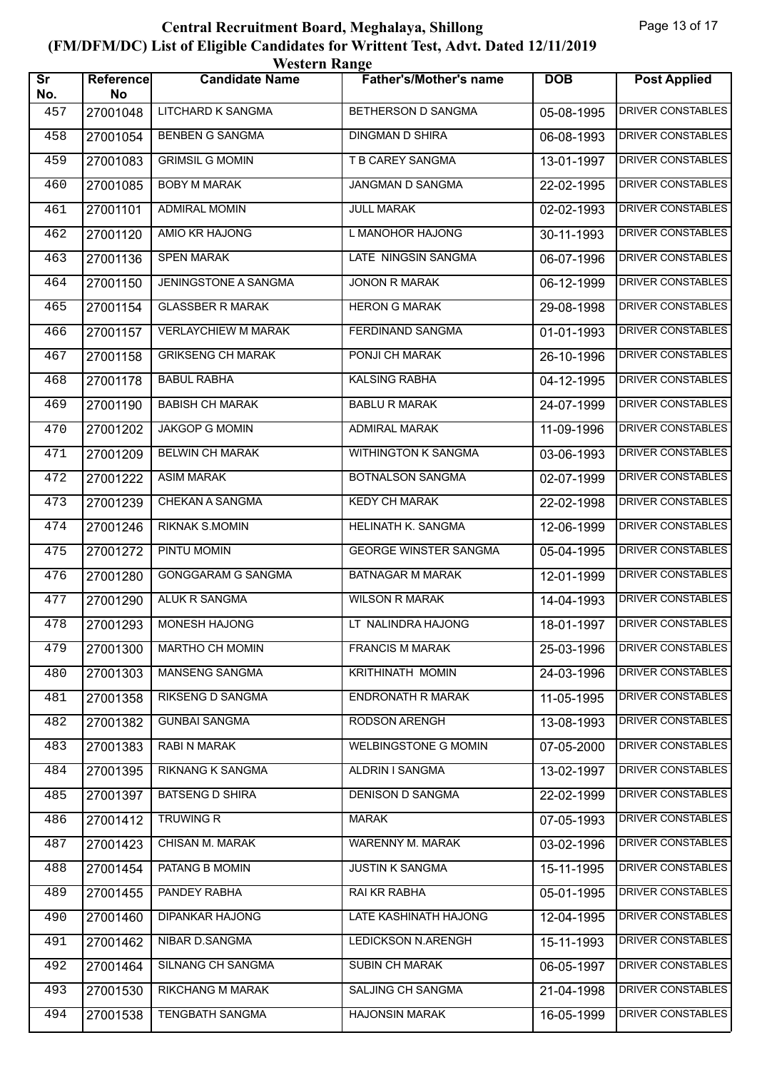| <b>Western Range</b>          |                 |                            |                               |            |                          |  |  |
|-------------------------------|-----------------|----------------------------|-------------------------------|------------|--------------------------|--|--|
| $\overline{\text{Sr}}$<br>No. | Reference<br>No | <b>Candidate Name</b>      | <b>Father's/Mother's name</b> | <b>DOB</b> | <b>Post Applied</b>      |  |  |
| 457                           | 27001048        | LITCHARD K SANGMA          | BETHERSON D SANGMA            | 05-08-1995 | DRIVER CONSTABLES        |  |  |
| 458                           | 27001054        | <b>BENBEN G SANGMA</b>     | <b>DINGMAN D SHIRA</b>        | 06-08-1993 | <b>DRIVER CONSTABLES</b> |  |  |
| 459                           | 27001083        | <b>GRIMSIL G MOMIN</b>     | T B CAREY SANGMA              | 13-01-1997 | DRIVER CONSTABLES        |  |  |
| 460                           | 27001085        | <b>BOBY M MARAK</b>        | JANGMAN D SANGMA              | 22-02-1995 | <b>DRIVER CONSTABLES</b> |  |  |
| 461                           | 27001101        | <b>ADMIRAL MOMIN</b>       | <b>JULL MARAK</b>             | 02-02-1993 | DRIVER CONSTABLES        |  |  |
| 462                           | 27001120        | <b>AMIO KR HAJONG</b>      | L MANOHOR HAJONG              | 30-11-1993 | <b>DRIVER CONSTABLES</b> |  |  |
| 463                           | 27001136        | <b>SPEN MARAK</b>          | LATE NINGSIN SANGMA           | 06-07-1996 | <b>DRIVER CONSTABLES</b> |  |  |
| 464                           | 27001150        | JENINGSTONE A SANGMA       | <b>JONON R MARAK</b>          | 06-12-1999 | <b>DRIVER CONSTABLES</b> |  |  |
| 465                           | 27001154        | <b>GLASSBER R MARAK</b>    | <b>HERON G MARAK</b>          | 29-08-1998 | DRIVER CONSTABLES        |  |  |
| 466                           | 27001157        | <b>VERLAYCHIEW M MARAK</b> | FERDINAND SANGMA              | 01-01-1993 | <b>DRIVER CONSTABLES</b> |  |  |
| 467                           | 27001158        | <b>GRIKSENG CH MARAK</b>   | PONJI CH MARAK                | 26-10-1996 | <b>DRIVER CONSTABLES</b> |  |  |
| 468                           | 27001178        | <b>BABUL RABHA</b>         | <b>KALSING RABHA</b>          | 04-12-1995 | <b>DRIVER CONSTABLES</b> |  |  |
| 469                           | 27001190        | <b>BABISH CH MARAK</b>     | <b>BABLU R MARAK</b>          | 24-07-1999 | DRIVER CONSTABLES        |  |  |
| 470                           | 27001202        | <b>JAKGOP G MOMIN</b>      | <b>ADMIRAL MARAK</b>          | 11-09-1996 | <b>DRIVER CONSTABLES</b> |  |  |
| 471                           | 27001209        | <b>BELWIN CH MARAK</b>     | WITHINGTON K SANGMA           | 03-06-1993 | <b>DRIVER CONSTABLES</b> |  |  |
| 472                           | 27001222        | <b>ASIM MARAK</b>          | <b>BOTNALSON SANGMA</b>       | 02-07-1999 | <b>DRIVER CONSTABLES</b> |  |  |
| 473                           | 27001239        | CHEKAN A SANGMA            | <b>KEDY CH MARAK</b>          | 22-02-1998 | <b>DRIVER CONSTABLES</b> |  |  |
| 474                           | 27001246        | <b>RIKNAK S.MOMIN</b>      | HELINATH K. SANGMA            | 12-06-1999 | DRIVER CONSTABLES        |  |  |
| 475                           | 27001272        | PINTU MOMIN                | <b>GEORGE WINSTER SANGMA</b>  | 05-04-1995 | <b>DRIVER CONSTABLES</b> |  |  |
| 476                           | 27001280        | GONGGARAM G SANGMA         | <b>BATNAGAR M MARAK</b>       | 12-01-1999 | <b>DRIVER CONSTABLES</b> |  |  |
| 477                           | 27001290        | ALUK R SANGMA              | <b>WILSON R MARAK</b>         | 14-04-1993 | <b>DRIVER CONSTABLES</b> |  |  |
| 478                           | 27001293        | <b>MONESH HAJONG</b>       | LT NALINDRA HAJONG            | 18-01-1997 | DRIVER CONSTABLES        |  |  |
| 479                           | 27001300        | MARTHO CH MOMIN            | <b>FRANCIS M MARAK</b>        | 25-03-1996 | DRIVER CONSTABLES        |  |  |
| 480                           | 27001303        | MANSENG SANGMA             | KRITHINATH MOMIN              | 24-03-1996 | DRIVER CONSTABLES        |  |  |
| 481                           | 27001358        | <b>RIKSENG D SANGMA</b>    | ENDRONATH R MARAK             | 11-05-1995 | DRIVER CONSTABLES        |  |  |
| 482                           | 27001382        | <b>GUNBAI SANGMA</b>       | RODSON ARENGH                 | 13-08-1993 | DRIVER CONSTABLES        |  |  |
| 483                           | 27001383        | RABI N MARAK               | WELBINGSTONE G MOMIN          | 07-05-2000 | DRIVER CONSTABLES        |  |  |
| 484                           | 27001395        | RIKNANG K SANGMA           | ALDRIN I SANGMA               | 13-02-1997 | DRIVER CONSTABLES        |  |  |
| 485                           | 27001397        | <b>BATSENG D SHIRA</b>     | DENISON D SANGMA              | 22-02-1999 | <b>DRIVER CONSTABLES</b> |  |  |
| 486                           | 27001412        | TRUWING R                  | <b>MARAK</b>                  | 07-05-1993 | DRIVER CONSTABLES        |  |  |
| 487                           | 27001423        | CHISAN M. MARAK            | WARENNY M. MARAK              | 03-02-1996 | DRIVER CONSTABLES        |  |  |
| 488                           | 27001454        | PATANG B MOMIN             | JUSTIN K SANGMA               | 15-11-1995 | DRIVER CONSTABLES        |  |  |
| 489                           | 27001455        | PANDEY RABHA               | RAI KR RABHA                  | 05-01-1995 | DRIVER CONSTABLES        |  |  |
| 490                           | 27001460        | DIPANKAR HAJONG            | LATE KASHINATH HAJONG         | 12-04-1995 | <b>DRIVER CONSTABLES</b> |  |  |
| 491                           | 27001462        | NIBAR D.SANGMA             | <b>LEDICKSON N.ARENGH</b>     | 15-11-1993 | DRIVER CONSTABLES        |  |  |
| 492                           | 27001464        | SILNANG CH SANGMA          | SUBIN CH MARAK                | 06-05-1997 | DRIVER CONSTABLES        |  |  |
| 493                           | 27001530        | RIKCHANG M MARAK           | SALJING CH SANGMA             | 21-04-1998 | DRIVER CONSTABLES        |  |  |
| 494                           | 27001538        | TENGBATH SANGMA            | <b>HAJONSIN MARAK</b>         | 16-05-1999 | DRIVER CONSTABLES        |  |  |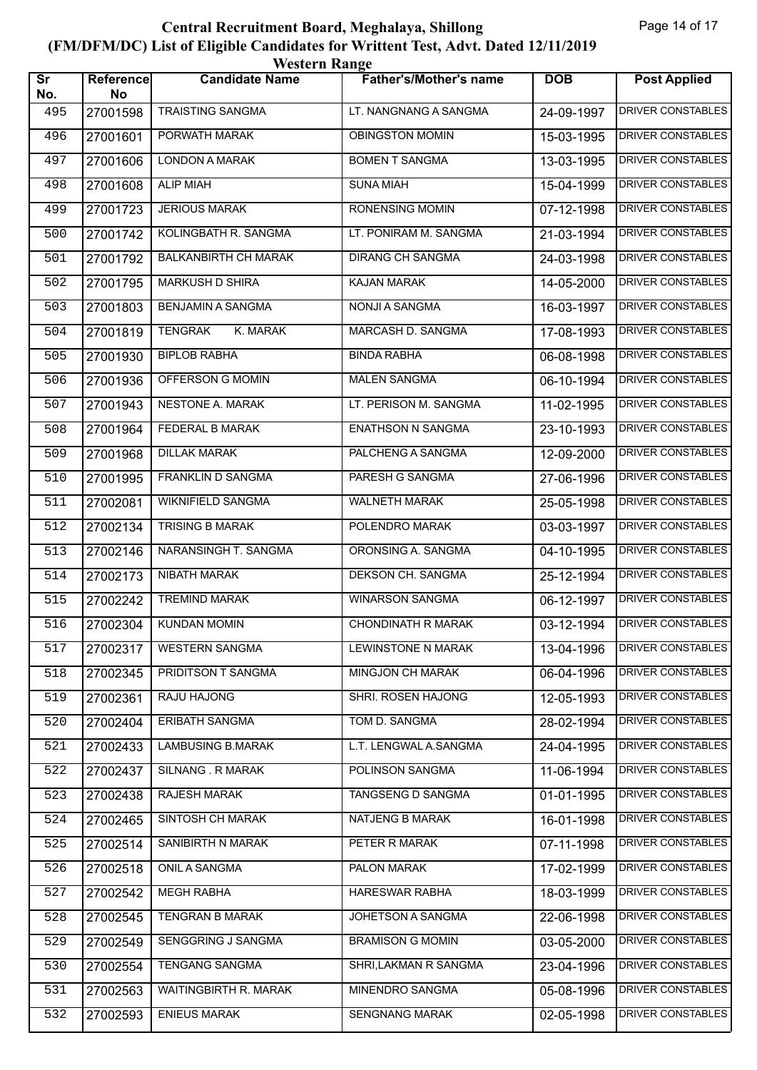| <b>Western Range</b>          |                 |                             |                               |            |                          |  |  |
|-------------------------------|-----------------|-----------------------------|-------------------------------|------------|--------------------------|--|--|
| $\overline{\text{Sr}}$<br>No. | Reference<br>No | <b>Candidate Name</b>       | <b>Father's/Mother's name</b> | <b>DOB</b> | <b>Post Applied</b>      |  |  |
| 495                           | 27001598        | <b>TRAISTING SANGMA</b>     | LT. NANGNANG A SANGMA         | 24-09-1997 | <b>DRIVER CONSTABLES</b> |  |  |
| 496                           | 27001601        | PORWATH MARAK               | <b>OBINGSTON MOMIN</b>        | 15-03-1995 | <b>DRIVER CONSTABLES</b> |  |  |
| 497                           | 27001606        | <b>LONDON A MARAK</b>       | <b>BOMEN T SANGMA</b>         | 13-03-1995 | DRIVER CONSTABLES        |  |  |
| 498                           | 27001608        | <b>ALIP MIAH</b>            | <b>SUNA MIAH</b>              | 15-04-1999 | <b>DRIVER CONSTABLES</b> |  |  |
| 499                           | 27001723        | <b>JERIOUS MARAK</b>        | RONENSING MOMIN               | 07-12-1998 | <b>DRIVER CONSTABLES</b> |  |  |
| 500                           | 27001742        | KOLINGBATH R. SANGMA        | LT. PONIRAM M. SANGMA         | 21-03-1994 | <b>DRIVER CONSTABLES</b> |  |  |
| 501                           | 27001792        | <b>BALKANBIRTH CH MARAK</b> | <b>DIRANG CH SANGMA</b>       | 24-03-1998 | <b>DRIVER CONSTABLES</b> |  |  |
| 502                           | 27001795        | MARKUSH D SHIRA             | <b>KAJAN MARAK</b>            | 14-05-2000 | <b>DRIVER CONSTABLES</b> |  |  |
| 503                           | 27001803        | <b>BENJAMIN A SANGMA</b>    | <b>NONJI A SANGMA</b>         | 16-03-1997 | <b>DRIVER CONSTABLES</b> |  |  |
| 504                           | 27001819        | <b>TENGRAK</b><br>K. MARAK  | <b>MARCASH D. SANGMA</b>      | 17-08-1993 | DRIVER CONSTABLES        |  |  |
| 505                           | 27001930        | <b>BIPLOB RABHA</b>         | <b>BINDA RABHA</b>            | 06-08-1998 | <b>DRIVER CONSTABLES</b> |  |  |
| 506                           | 27001936        | OFFERSON G MOMIN            | <b>MALEN SANGMA</b>           | 06-10-1994 | <b>DRIVER CONSTABLES</b> |  |  |
| 507                           | 27001943        | NESTONE A. MARAK            | LT. PERISON M. SANGMA         | 11-02-1995 | <b>DRIVER CONSTABLES</b> |  |  |
| 508                           | 27001964        | FEDERAL B MARAK             | <b>ENATHSON N SANGMA</b>      | 23-10-1993 | <b>DRIVER CONSTABLES</b> |  |  |
| 509                           | 27001968        | <b>DILLAK MARAK</b>         | PALCHENG A SANGMA             | 12-09-2000 | <b>DRIVER CONSTABLES</b> |  |  |
| 510                           | 27001995        | <b>FRANKLIN D SANGMA</b>    | PARESH G SANGMA               | 27-06-1996 | <b>DRIVER CONSTABLES</b> |  |  |
| 511                           | 27002081        | WIKNIFIELD SANGMA           | <b>WALNETH MARAK</b>          | 25-05-1998 | <b>DRIVER CONSTABLES</b> |  |  |
| 512                           | 27002134        | <b>TRISING B MARAK</b>      | POLENDRO MARAK                | 03-03-1997 | DRIVER CONSTABLES        |  |  |
| 513                           | 27002146        | NARANSINGH T. SANGMA        | ORONSING A. SANGMA            | 04-10-1995 | <b>DRIVER CONSTABLES</b> |  |  |
| 514                           | 27002173        | NIBATH MARAK                | DEKSON CH. SANGMA             | 25-12-1994 | <b>DRIVER CONSTABLES</b> |  |  |
| 515                           | 27002242        | <b>TREMIND MARAK</b>        | <b>WINARSON SANGMA</b>        | 06-12-1997 | <b>DRIVER CONSTABLES</b> |  |  |
| 516                           | 27002304        | <b>KUNDAN MOMIN</b>         | <b>CHONDINATH R MARAK</b>     | 03-12-1994 | <b>DRIVER CONSTABLES</b> |  |  |
| 517                           | 27002317        | <b>WESTERN SANGMA</b>       | <b>LEWINSTONE N MARAK</b>     | 13-04-1996 | DRIVER CONSTABLES        |  |  |
| 518                           | 27002345        | PRIDITSON T SANGMA          | MINGJON CH MARAK              | 06-04-1996 | DRIVER CONSTABLES        |  |  |
| 519                           | 27002361        | RAJU HAJONG                 | SHRI. ROSEN HAJONG            | 12-05-1993 | DRIVER CONSTABLES        |  |  |
| 520                           | 27002404        | ERIBATH SANGMA              | TOM D. SANGMA                 | 28-02-1994 | DRIVER CONSTABLES        |  |  |
| 521                           | 27002433        | <b>LAMBUSING B.MARAK</b>    | L.T. LENGWAL A.SANGMA         | 24-04-1995 | DRIVER CONSTABLES        |  |  |
| 522                           | 27002437        | SILNANG. R MARAK            | POLINSON SANGMA               | 11-06-1994 | DRIVER CONSTABLES        |  |  |
| 523                           | 27002438        | <b>RAJESH MARAK</b>         | TANGSENG D SANGMA             | 01-01-1995 | <b>DRIVER CONSTABLES</b> |  |  |
| 524                           | 27002465        | SINTOSH CH MARAK            | NATJENG B MARAK               | 16-01-1998 | DRIVER CONSTABLES        |  |  |
| 525                           | 27002514        | SANIBIRTH N MARAK           | PETER R MARAK                 | 07-11-1998 | DRIVER CONSTABLES        |  |  |
| 526                           | 27002518        | ONIL A SANGMA               | PALON MARAK                   | 17-02-1999 | DRIVER CONSTABLES        |  |  |
| 527                           | 27002542        | <b>MEGH RABHA</b>           | <b>HARESWAR RABHA</b>         | 18-03-1999 | DRIVER CONSTABLES        |  |  |
| 528                           | 27002545        | <b>TENGRAN B MARAK</b>      | JOHETSON A SANGMA             | 22-06-1998 | <b>DRIVER CONSTABLES</b> |  |  |
| 529                           | 27002549        | SENGGRING J SANGMA          | <b>BRAMISON G MOMIN</b>       | 03-05-2000 | DRIVER CONSTABLES        |  |  |
| 530                           | 27002554        | <b>TENGANG SANGMA</b>       | SHRI, LAKMAN R SANGMA         | 23-04-1996 | DRIVER CONSTABLES        |  |  |
| 531                           | 27002563        | WAITINGBIRTH R. MARAK       | MINENDRO SANGMA               | 05-08-1996 | DRIVER CONSTABLES        |  |  |
| 532                           | 27002593        | <b>ENIEUS MARAK</b>         | SENGNANG MARAK                | 02-05-1998 | DRIVER CONSTABLES        |  |  |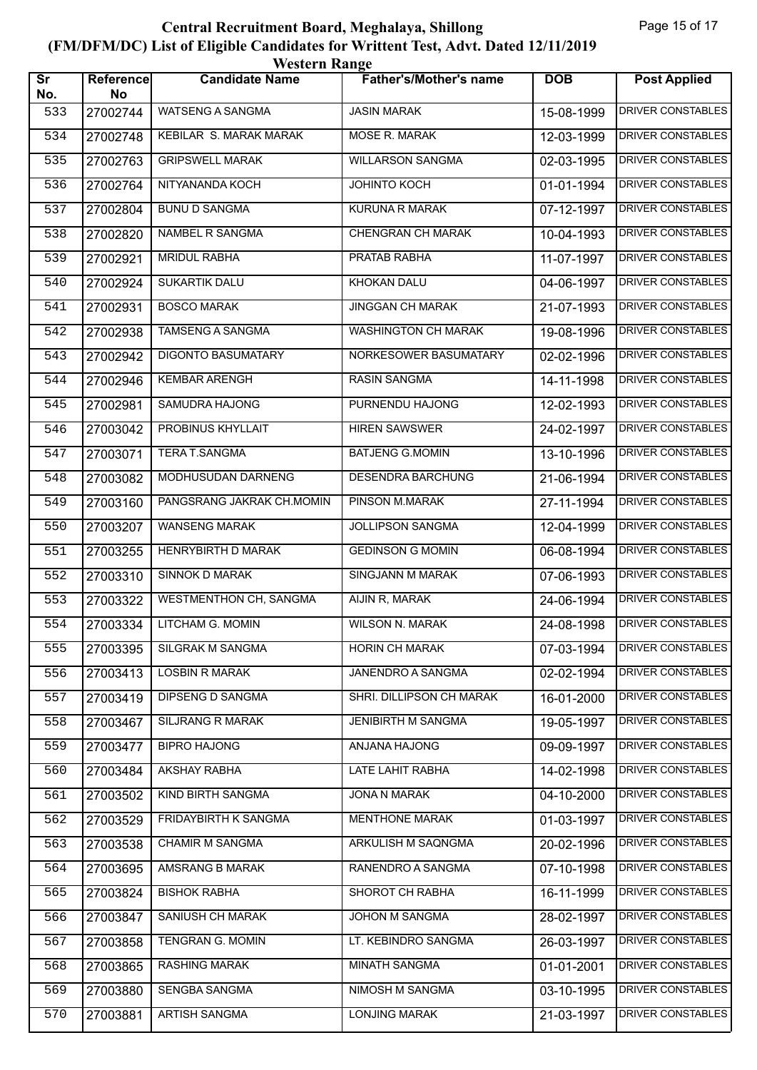| <b>Western Range</b>          |                 |                               |                               |            |                          |  |  |
|-------------------------------|-----------------|-------------------------------|-------------------------------|------------|--------------------------|--|--|
| $\overline{\text{Sr}}$<br>No. | Reference<br>No | <b>Candidate Name</b>         | <b>Father's/Mother's name</b> | <b>DOB</b> | <b>Post Applied</b>      |  |  |
| 533                           | 27002744        | WATSENG A SANGMA              | <b>JASIN MARAK</b>            | 15-08-1999 | <b>DRIVER CONSTABLES</b> |  |  |
| 534                           | 27002748        | <b>KEBILAR S. MARAK MARAK</b> | <b>MOSE R. MARAK</b>          | 12-03-1999 | DRIVER CONSTABLES        |  |  |
| 535                           | 27002763        | <b>GRIPSWELL MARAK</b>        | <b>WILLARSON SANGMA</b>       | 02-03-1995 | <b>DRIVER CONSTABLES</b> |  |  |
| 536                           | 27002764        | NITYANANDA KOCH               | <b>JOHINTO KOCH</b>           | 01-01-1994 | <b>DRIVER CONSTABLES</b> |  |  |
| 537                           | 27002804        | <b>BUNU D SANGMA</b>          | KURUNA R MARAK                | 07-12-1997 | DRIVER CONSTABLES        |  |  |
| 538                           | 27002820        | NAMBEL R SANGMA               | <b>CHENGRAN CH MARAK</b>      | 10-04-1993 | <b>DRIVER CONSTABLES</b> |  |  |
| 539                           | 27002921        | <b>MRIDUL RABHA</b>           | <b>PRATAB RABHA</b>           | 11-07-1997 | <b>DRIVER CONSTABLES</b> |  |  |
| 540                           | 27002924        | <b>SUKARTIK DALU</b>          | KHOKAN DALU                   | 04-06-1997 | <b>DRIVER CONSTABLES</b> |  |  |
| 541                           | 27002931        | <b>BOSCO MARAK</b>            | <b>JINGGAN CH MARAK</b>       | 21-07-1993 | <b>DRIVER CONSTABLES</b> |  |  |
| 542                           | 27002938        | TAMSENG A SANGMA              | <b>WASHINGTON CH MARAK</b>    | 19-08-1996 | DRIVER CONSTABLES        |  |  |
| 543                           | 27002942        | <b>DIGONTO BASUMATARY</b>     | NORKESOWER BASUMATARY         | 02-02-1996 | <b>DRIVER CONSTABLES</b> |  |  |
| 544                           | 27002946        | <b>KEMBAR ARENGH</b>          | <b>RASIN SANGMA</b>           | 14-11-1998 | <b>DRIVER CONSTABLES</b> |  |  |
| 545                           | 27002981        | SAMUDRA HAJONG                | PURNENDU HAJONG               | 12-02-1993 | <b>DRIVER CONSTABLES</b> |  |  |
| 546                           | 27003042        | PROBINUS KHYLLAIT             | <b>HIREN SAWSWER</b>          | 24-02-1997 | <b>DRIVER CONSTABLES</b> |  |  |
| 547                           | 27003071        | TERA T.SANGMA                 | <b>BATJENG G.MOMIN</b>        | 13-10-1996 | DRIVER CONSTABLES        |  |  |
| 548                           | 27003082        | MODHUSUDAN DARNENG            | <b>DESENDRA BARCHUNG</b>      | 21-06-1994 | <b>DRIVER CONSTABLES</b> |  |  |
| 549                           | 27003160        | PANGSRANG JAKRAK CH.MOMIN     | PINSON M.MARAK                | 27-11-1994 | <b>DRIVER CONSTABLES</b> |  |  |
| 550                           | 27003207        | <b>WANSENG MARAK</b>          | JOLLIPSON SANGMA              | 12-04-1999 | DRIVER CONSTABLES        |  |  |
| 551                           | 27003255        | HENRYBIRTH D MARAK            | <b>GEDINSON G MOMIN</b>       | 06-08-1994 | <b>DRIVER CONSTABLES</b> |  |  |
| 552                           | 27003310        | <b>SINNOK D MARAK</b>         | <b>SINGJANN M MARAK</b>       | 07-06-1993 | <b>DRIVER CONSTABLES</b> |  |  |
| 553                           | 27003322        | <b>WESTMENTHON CH, SANGMA</b> | AIJIN R, MARAK                | 24-06-1994 | <b>DRIVER CONSTABLES</b> |  |  |
| 554                           | 27003334        | LITCHAM G. MOMIN              | <b>WILSON N. MARAK</b>        | 24-08-1998 | DRIVER CONSTABLES        |  |  |
| 555                           | 27003395        | <b>SILGRAK M SANGMA</b>       | HORIN CH MARAK                | 07-03-1994 | DRIVER CONSTABLES        |  |  |
| 556                           | 27003413        | LOSBIN R MARAK                | JANENDRO A SANGMA             | 02-02-1994 | DRIVER CONSTABLES        |  |  |
| 557                           | 27003419        | <b>DIPSENG D SANGMA</b>       | SHRI. DILLIPSON CH MARAK      | 16-01-2000 | DRIVER CONSTABLES        |  |  |
| 558                           | 27003467        | SILJRANG R MARAK              | <b>JENIBIRTH M SANGMA</b>     | 19-05-1997 | DRIVER CONSTABLES        |  |  |
| 559                           | 27003477        | <b>BIPRO HAJONG</b>           | ANJANA HAJONG                 | 09-09-1997 | DRIVER CONSTABLES        |  |  |
| 560                           | 27003484        | AKSHAY RABHA                  | LATE LAHIT RABHA              | 14-02-1998 | DRIVER CONSTABLES        |  |  |
| 561                           | 27003502        | <b>KIND BIRTH SANGMA</b>      | <b>JONA N MARAK</b>           | 04-10-2000 | <b>DRIVER CONSTABLES</b> |  |  |
| 562                           | 27003529        | FRIDAYBIRTH K SANGMA          | <b>MENTHONE MARAK</b>         | 01-03-1997 | DRIVER CONSTABLES        |  |  |
| 563                           | 27003538        | <b>CHAMIR M SANGMA</b>        | ARKULISH M SAQNGMA            | 20-02-1996 | DRIVER CONSTABLES        |  |  |
| 564                           | 27003695        | AMSRANG B MARAK               | RANENDRO A SANGMA             | 07-10-1998 | DRIVER CONSTABLES        |  |  |
| 565                           | 27003824        | <b>BISHOK RABHA</b>           | SHOROT CH RABHA               | 16-11-1999 | DRIVER CONSTABLES        |  |  |
| 566                           | 27003847        | <b>SANIUSH CH MARAK</b>       | <b>JOHON M SANGMA</b>         | 28-02-1997 | <b>DRIVER CONSTABLES</b> |  |  |
| 567                           | 27003858        | <b>TENGRAN G. MOMIN</b>       | LT. KEBINDRO SANGMA           | 26-03-1997 | DRIVER CONSTABLES        |  |  |
| 568                           | 27003865        | RASHING MARAK                 | MINATH SANGMA                 | 01-01-2001 | DRIVER CONSTABLES        |  |  |
| 569                           | 27003880        | SENGBA SANGMA                 | NIMOSH M SANGMA               | 03-10-1995 | DRIVER CONSTABLES        |  |  |
| 570                           | 27003881        | <b>ARTISH SANGMA</b>          | <b>LONJING MARAK</b>          | 21-03-1997 | DRIVER CONSTABLES        |  |  |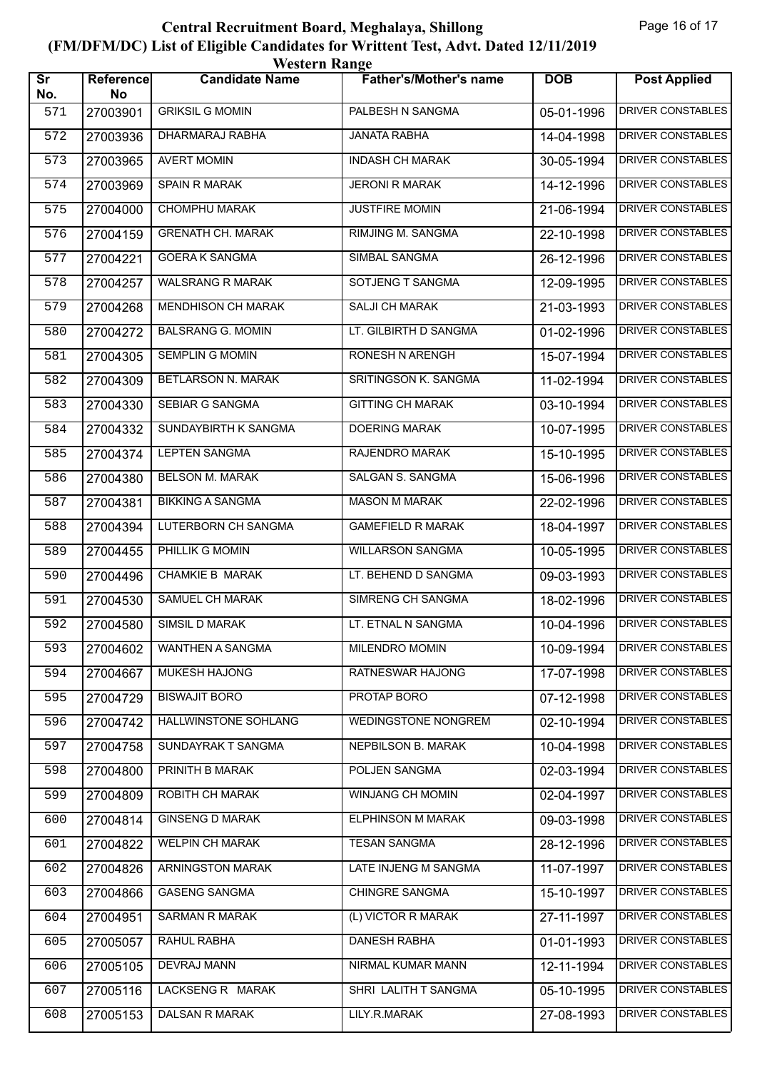| <b>Western Range</b>          |                 |                           |                               |            |                          |  |  |
|-------------------------------|-----------------|---------------------------|-------------------------------|------------|--------------------------|--|--|
| $\overline{\text{Sr}}$<br>No. | Reference<br>No | <b>Candidate Name</b>     | <b>Father's/Mother's name</b> | <b>DOB</b> | <b>Post Applied</b>      |  |  |
| 571                           | 27003901        | <b>GRIKSIL G MOMIN</b>    | PALBESH N SANGMA              | 05-01-1996 | DRIVER CONSTABLES        |  |  |
| 572                           | 27003936        | <b>DHARMARAJ RABHA</b>    | <b>JANATA RABHA</b>           | 14-04-1998 | DRIVER CONSTABLES        |  |  |
| 573                           | 27003965        | <b>AVERT MOMIN</b>        | <b>INDASH CH MARAK</b>        | 30-05-1994 | <b>DRIVER CONSTABLES</b> |  |  |
| 574                           | 27003969        | <b>SPAIN R MARAK</b>      | <b>JERONI R MARAK</b>         | 14-12-1996 | <b>DRIVER CONSTABLES</b> |  |  |
| 575                           | 27004000        | CHOMPHU MARAK             | <b>JUSTFIRE MOMIN</b>         | 21-06-1994 | DRIVER CONSTABLES        |  |  |
| 576                           | 27004159        | <b>GRENATH CH. MARAK</b>  | RIMJING M. SANGMA             | 22-10-1998 | <b>DRIVER CONSTABLES</b> |  |  |
| 577                           | 27004221        | <b>GOERA K SANGMA</b>     | <b>SIMBAL SANGMA</b>          | 26-12-1996 | <b>DRIVER CONSTABLES</b> |  |  |
| 578                           | 27004257        | <b>WALSRANG R MARAK</b>   | SOTJENG T SANGMA              | 12-09-1995 | <b>DRIVER CONSTABLES</b> |  |  |
| 579                           | 27004268        | MENDHISON CH MARAK        | <b>SALJI CH MARAK</b>         | 21-03-1993 | DRIVER CONSTABLES        |  |  |
| 580                           | 27004272        | <b>BALSRANG G. MOMIN</b>  | LT. GILBIRTH D SANGMA         | 01-02-1996 | DRIVER CONSTABLES        |  |  |
| 581                           | 27004305        | <b>SEMPLIN G MOMIN</b>    | <b>RONESH N ARENGH</b>        | 15-07-1994 | <b>DRIVER CONSTABLES</b> |  |  |
| 582                           | 27004309        | <b>BETLARSON N. MARAK</b> | <b>SRITINGSON K. SANGMA</b>   | 11-02-1994 | <b>DRIVER CONSTABLES</b> |  |  |
| 583                           | 27004330        | <b>SEBIAR G SANGMA</b>    | <b>GITTING CH MARAK</b>       | 03-10-1994 | <b>DRIVER CONSTABLES</b> |  |  |
| 584                           | 27004332        | SUNDAYBIRTH K SANGMA      | <b>DOERING MARAK</b>          | 10-07-1995 | DRIVER CONSTABLES        |  |  |
| 585                           | 27004374        | <b>LEPTEN SANGMA</b>      | RAJENDRO MARAK                | 15-10-1995 | DRIVER CONSTABLES        |  |  |
| 586                           | 27004380        | <b>BELSON M. MARAK</b>    | <b>SALGAN S. SANGMA</b>       | 15-06-1996 | <b>DRIVER CONSTABLES</b> |  |  |
| 587                           | 27004381        | <b>BIKKING A SANGMA</b>   | <b>MASON M MARAK</b>          | 22-02-1996 | <b>DRIVER CONSTABLES</b> |  |  |
| 588                           | 27004394        | LUTERBORN CH SANGMA       | <b>GAMEFIELD R MARAK</b>      | 18-04-1997 | DRIVER CONSTABLES        |  |  |
| 589                           | 27004455        | PHILLIK G MOMIN           | <b>WILLARSON SANGMA</b>       | 10-05-1995 | DRIVER CONSTABLES        |  |  |
| 590                           | 27004496        | <b>CHAMKIE B MARAK</b>    | LT. BEHEND D SANGMA           | 09-03-1993 | <b>DRIVER CONSTABLES</b> |  |  |
| 591                           | 27004530        | <b>SAMUEL CH MARAK</b>    | SIMRENG CH SANGMA             | 18-02-1996 | DRIVER CONSTABLES        |  |  |
| 592                           | 27004580        | SIMSIL D MARAK            | LT. ETNAL N SANGMA            | 10-04-1996 | DRIVER CONSTABLES        |  |  |
| 593                           | 27004602        | WANTHEN A SANGMA          | MILENDRO MOMIN                | 10-09-1994 | DRIVER CONSTABLES        |  |  |
| 594                           | 27004667        | MUKESH HAJONG             | RATNESWAR HAJONG              | 17-07-1998 | DRIVER CONSTABLES        |  |  |
| 595                           | 27004729        | <b>BISWAJIT BORO</b>      | PROTAP BORO                   | 07-12-1998 | <b>DRIVER CONSTABLES</b> |  |  |
| 596                           | 27004742        | HALLWINSTONE SOHLANG      | WEDINGSTONE NONGREM           | 02-10-1994 | DRIVER CONSTABLES        |  |  |
| 597                           | 27004758        | SUNDAYRAK T SANGMA        | NEPBILSON B. MARAK            | 10-04-1998 | DRIVER CONSTABLES        |  |  |
| 598                           | 27004800        | PRINITH B MARAK           | POLJEN SANGMA                 | 02-03-1994 | DRIVER CONSTABLES        |  |  |
| 599                           | 27004809        | <b>ROBITH CH MARAK</b>    | WINJANG CH MOMIN              | 02-04-1997 | <b>DRIVER CONSTABLES</b> |  |  |
| 600                           | 27004814        | <b>GINSENG D MARAK</b>    | <b>ELPHINSON M MARAK</b>      | 09-03-1998 | DRIVER CONSTABLES        |  |  |
| 601                           | 27004822        | WELPIN CH MARAK           | <b>TESAN SANGMA</b>           | 28-12-1996 | DRIVER CONSTABLES        |  |  |
| 602                           | 27004826        | ARNINGSTON MARAK          | LATE INJENG M SANGMA          | 11-07-1997 | DRIVER CONSTABLES        |  |  |
| 603                           | 27004866        | <b>GASENG SANGMA</b>      | CHINGRE SANGMA                | 15-10-1997 | DRIVER CONSTABLES        |  |  |
| 604                           | 27004951        | <b>SARMAN R MARAK</b>     | (L) VICTOR R MARAK            | 27-11-1997 | <b>DRIVER CONSTABLES</b> |  |  |
| 605                           | 27005057        | <b>RAHUL RABHA</b>        | <b>DANESH RABHA</b>           | 01-01-1993 | DRIVER CONSTABLES        |  |  |
| 606                           | 27005105        | DEVRAJ MANN               | NIRMAL KUMAR MANN             | 12-11-1994 | DRIVER CONSTABLES        |  |  |
| 607                           | 27005116        | LACKSENG R MARAK          | SHRI LALITH T SANGMA          | 05-10-1995 | DRIVER CONSTABLES        |  |  |
| 608                           | 27005153        | DALSAN R MARAK            | LILY.R.MARAK                  | 27-08-1993 | DRIVER CONSTABLES        |  |  |